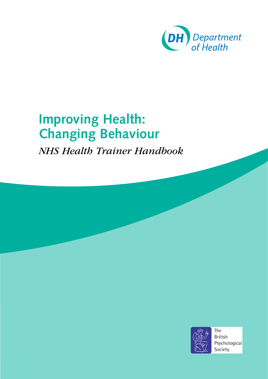

# **Improving Health: Changing Behaviour**

*NHS Health Trainer Handbook*

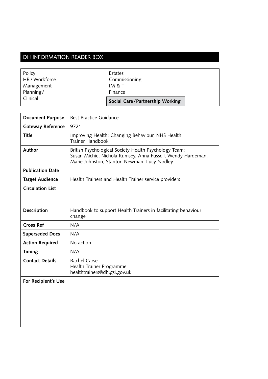# DH INFORMATION READER BOX

| Policy         | Estates                         |
|----------------|---------------------------------|
| HR / Workforce | Commissioning                   |
| Management     | IM & T                          |
| Planning/      | Finance                         |
| Clinical       | Social Care/Partnership Working |

| <b>Document Purpose</b>    | <b>Best Practice Guidance</b>                                                                                                                                        |
|----------------------------|----------------------------------------------------------------------------------------------------------------------------------------------------------------------|
| <b>Gateway Reference</b>   | 9721                                                                                                                                                                 |
| <b>Title</b>               | Improving Health: Changing Behaviour, NHS Health<br><b>Trainer Handbook</b>                                                                                          |
| Author                     | British Psychological Society Health Psychology Team:<br>Susan Michie, Nichola Rumsey, Anna Fussell, Wendy Hardeman,<br>Marie Johnston, Stanton Newman, Lucy Yardley |
| <b>Publication Date</b>    |                                                                                                                                                                      |
| <b>Target Audience</b>     | Health Trainers and Health Trainer service providers                                                                                                                 |
| <b>Circulation List</b>    |                                                                                                                                                                      |
|                            |                                                                                                                                                                      |
| Description                | Handbook to support Health Trainers in facilitating behaviour<br>change                                                                                              |
| <b>Cross Ref</b>           | N/A                                                                                                                                                                  |
| <b>Superseded Docs</b>     | N/A                                                                                                                                                                  |
| <b>Action Required</b>     | No action                                                                                                                                                            |
| <b>Timing</b>              | N/A                                                                                                                                                                  |
| <b>Contact Details</b>     | Rachel Carse<br>Health Trainer Programme<br>healthtrainers@dh.gsi.gov.uk                                                                                             |
| <b>For Recipient's Use</b> |                                                                                                                                                                      |
|                            |                                                                                                                                                                      |
|                            |                                                                                                                                                                      |
|                            |                                                                                                                                                                      |
|                            |                                                                                                                                                                      |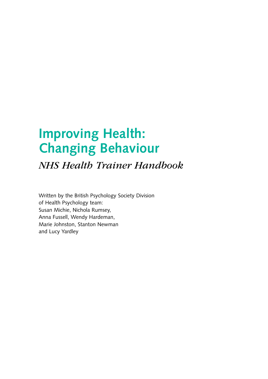# **Improving Health: Changing Behaviour**

*NHS Health Trainer Handbook*

Written by the British Psychology Society Division of Health Psychology team: Susan Michie, Nichola Rumsey, Anna Fussell, Wendy Hardeman, Marie Johnston, Stanton Newman and Lucy Yardley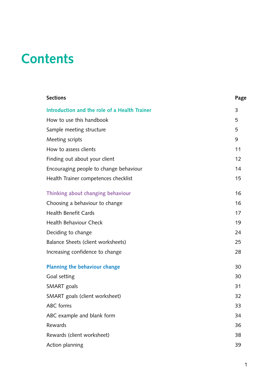# **Contents**

| <b>Sections</b>                               | Page |
|-----------------------------------------------|------|
| Introduction and the role of a Health Trainer | 3    |
| How to use this handbook                      | 5    |
| Sample meeting structure                      | 5    |
| Meeting scripts                               | 9    |
| How to assess clients                         | 11   |
| Finding out about your client                 | 12   |
| Encouraging people to change behaviour        | 14   |
| Health Trainer competences checklist          | 15   |
| Thinking about changing behaviour             | 16   |
| Choosing a behaviour to change                | 16   |
| <b>Health Benefit Cards</b>                   | 17   |
| <b>Health Behaviour Check</b>                 | 19   |
| Deciding to change                            | 24   |
| Balance Sheets (client worksheets)            | 25   |
| Increasing confidence to change               | 28   |
| Planning the behaviour change                 | 30   |
| Goal setting                                  | 30   |
| SMART goals                                   | 31   |
| SMART goals (client worksheet)                | 32   |
| ABC forms                                     | 33   |
| ABC example and blank form                    | 34   |
| Rewards                                       | 36   |
| Rewards (client worksheet)                    | 38   |
| Action planning                               | 39   |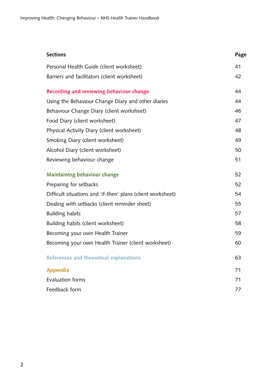| <b>Sections</b>                                             | Page |
|-------------------------------------------------------------|------|
| Personal Health Guide (client worksheet)                    | 41   |
| Barriers and facilitators (client worksheet)                | 42   |
| Recording and reviewing behaviour change                    | 44   |
| Using the Behaviour Change Diary and other diaries          | 44   |
| Behaviour Change Diary (client worksheet)                   | 46   |
| Food Diary (client worksheet)                               | 47   |
| Physical Activity Diary (client worksheet)                  | 48   |
| Smoking Diary (client worksheet)                            | 49   |
| Alcohol Diary (client worksheet)                            | 50   |
| Reviewing behaviour change                                  | 51   |
| Maintaining behaviour change                                | 52   |
| Preparing for setbacks                                      | 52   |
| Difficult situations and 'if-then' plans (client worksheet) | 54   |
| Dealing with setbacks (client reminder sheet)               | 55   |
| <b>Building habits</b>                                      | 57   |
| Building habits (client worksheet)                          | 58   |
| Becoming your own Health Trainer                            | 59   |
| Becoming your own Health Trainer (client worksheet)         | 60   |
| References and theoretical explanations                     | 63   |
| <b>Appendix</b>                                             | 71   |
| <b>Evaluation forms</b>                                     | 71   |
| Feedback form                                               | 77   |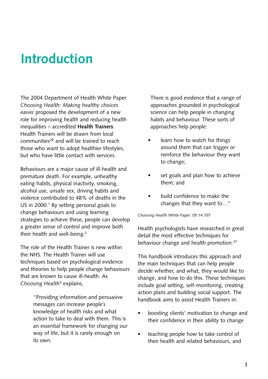# <span id="page-6-0"></span>**Introduction**

The 2004 Department of Health White Paper *Choosing Health: Making healthy choices easier* proposed the development of a new role for improving health and reducing health inequalities – accredited **Health Trainers**. Health Trainers will be drawn from local communities<sup>28</sup> and will be trained to reach those who want to adopt healthier lifestyles, but who have little contact with services.

Behaviours are a major cause of ill-health and premature death. For example, unhealthy eating habits, physical inactivity, smoking, alcohol use, unsafe sex, driving habits and violence contributed to 48% of deaths in the US in 2000. $1$  By setting personal goals to change behaviours and using learning strategies to achieve these, people can develop a greater sense of control and improve both their health and well-being.2

The role of the Health Trainer is new within the NHS. The Health Trainer will use techniques based on psychological evidence and theories to help people change behaviours that are known to cause ill-health. As *Choosing Health*3 explains,

> "Providing information and persuasive messages can increase people's knowledge of health risks and what action to take to deal with them. This is an essential framework for changing our way of life, but it is rarely enough on its own.

There is good evidence that a range of approaches grounded in psychological science can help people in changing habits and behaviour. These sorts of approaches help people:

- learn how to watch for things around them that can trigger or reinforce the behaviour they want to change;
- set goals and plan how to achieve them; and
- build confidence to make the changes that they want to…"

*Choosing Health* White Paper: 05:14:107

Health psychologists have researched in great detail the most effective techniques for behaviour change and health promotion.<sup>27</sup>

This handbook introduces this approach and the main techniques that can help people decide whether, and what, they would like to change, and how to do this. These techniques include goal setting, self-monitoring, creating action plans and building social support. The handbook aims to assist Health Trainers in:

- boosting clients' motivation to change and their confidence in their ability to change
- teaching people how to take control of their health and related behaviours, and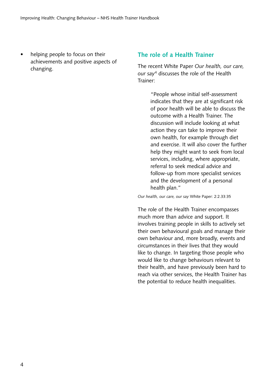helping people to focus on their achievements and positive aspects of changing.

## **The role of a Health Trainer**

The recent White Paper *Our health, our care, our say*4 discusses the role of the Health Trainer:

> "People whose initial self-assessment indicates that they are at significant risk of poor health will be able to discuss the outcome with a Health Trainer. The discussion will include looking at what action they can take to improve their own health, for example through diet and exercise. It will also cover the further help they might want to seek from local services, including, where appropriate, referral to seek medical advice and follow-up from more specialist services and the development of a personal health plan."

*Our health, our care, our say* White Paper: 2:2.33:35

The role of the Health Trainer encompasses much more than advice and support. It involves training people in skills to actively set their own behavioural goals and manage their own behaviour and, more broadly, events and circumstances in their lives that they would like to change. In targeting those people who would like to change behaviours relevant to their health, and have previously been hard to reach via other services, the Health Trainer has the potential to reduce health inequalities.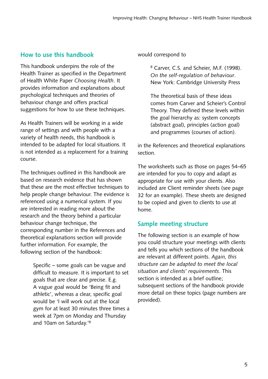# <span id="page-8-0"></span>**How to use this handbook**

This handbook underpins the role of the Health Trainer as specified in the Department of Health White Paper *Choosing Health*. It provides information and explanations about psychological techniques and theories of behaviour change and offers practical suggestions for how to use these techniques.

As Health Trainers will be working in a wide range of settings and with people with a variety of health needs, this handbook is intended to be adapted for local situations. It is not intended as a replacement for a training course.

The techniques outlined in this handbook are based on research evidence that has shown that these are the most effective techniques to help people change behaviour. The evidence is referenced using a numerical system. If you are interested in reading more about the research and the theory behind a particular behaviour change technique, the corresponding number in the References and theoretical explanations section will provide further information. For example, the following section of the handbook:

> Specific – some goals can be vague and difficult to measure. It is important to set goals that are clear and precise. E.g. A vague goal would be 'Being fit and athletic', whereas a clear, specific goal would be 'I will work out at the local gym for at least 30 minutes three times a week at 7pm on Monday and Thursday and 10am on Saturday.'8

#### would correspond to

8 Carver, C.S. and Scheier, M.F. (1998). *On the self-regulation of behaviour*. New York: Cambridge University Press

The theoretical basis of these ideas comes from Carver and Scheier's Control Theory. They defined these levels within the goal hierarchy as: system concepts (abstract goal), principles (action goal) and programmes (courses of action).

in the References and theoretical explanations section.

The worksheets such as those on pages 54–65 are intended for you to copy and adapt as appropriate for use with your clients. Also included are Client reminder sheets (see page 32 for an example). These sheets are designed to be copied and given to clients to use at home.

# **Sample meeting structure**

The following section is an example of how you could structure your meetings with clients and tells you which sections of the handbook are relevant at different points. *Again, this structure can be adapted to meet the local situation and clients' requirements*. This section is intended as a brief outline; subsequent sections of the handbook provide more detail on these topics (page numbers are provided).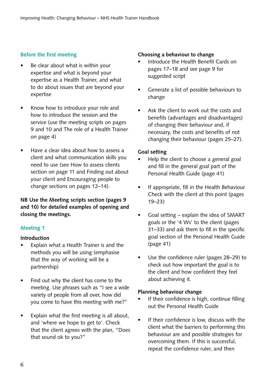## **Before the first meeting**

- Be clear about what is within your expertise and what is beyond your expertise as a Health Trainer, and what to do about issues that are beyond your expertise
- Know how to introduce your role and how to introduce the session and the service (use the meeting scripts on pages 9 and 10 and The role of a Health Trainer on page 4)
- Have a clear idea about how to assess a client and what communication skills you need to use (see How to assess clients section on page 11 and Finding out about your client and Encouraging people to change sections on pages 12–14).

## **NB Use the Meeting scripts section (pages 9 and 10) for detailed examples of opening and closing the meetings.**

### **Meeting 1**

#### **Introduction**

- Explain what a Health Trainer is and the methods you will be using (emphasise that the way of working will be a partnership)
- Find out why the client has come to the meeting. Use phrases such as "I see a wide variety of people from all over, how did you come to have this meeting with me?"
- Explain what the first meeting is all about, and 'where we hope to get to'. Check that the client agrees with the plan, "Does that sound ok to you?"

#### **Choosing a behaviour to change**

- Introduce the Health Benefit Cards on pages 17–18 and see page 9 for suggested script
- Generate a list of possible behaviours to change
- Ask the client to work out the costs and benefits (advantages and disadvantages) of changing their behaviour and, if necessary, the costs and benefits of not changing their behaviour (pages 25–27).

#### **Goal setting**

- Help the client to choose a general goal and fill in the general goal part of the Personal Health Guide (page 41)
- If appropriate, fill in the Health Behaviour Check with the client at this point (pages 19–23)
- Goal setting  $-$  explain the idea of SMART goals or the '4 Ws' to the client (pages 31–33) and ask them to fill in the specific goal section of the Personal Health Guide (page 41)
- Use the confidence ruler (pages 28–29) to check out how important the goal is to the client and how confident they feel about achieving it.

#### **Planning behaviour change**

- If their confidence is high, continue filling out the Personal Health Guide
- If their confidence is low, discuss with the client what the barriers to performing this behaviour are and possible strategies for overcoming them. If this is successful, repeat the confidence ruler, and then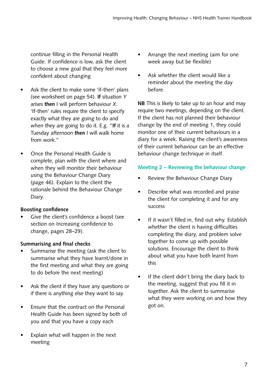continue filling in the Personal Health Guide. If confidence is low, ask the client to choose a new goal that they feel more confident about changing

- Ask the client to make some 'if-then' plans (see worksheet on page 54). **If** situation *Y* arises **then** I will perform behaviour *X*. 'If-then' rules require the client to specify exactly what they are going to do and when they are going to do it. E.g. "**If** it is a Tuesday afternoon **then** I will walk home from work."
- Once the Personal Health Guide is complete, plan with the client where and when they will monitor their behaviour using the Behaviour Change Diary (page 46). Explain to the client the rationale behind the Behaviour Change Diary.

## **Boosting confidence**

Give the client's confidence a boost (see section on Increasing confidence to change, pages 28–29).

## **Summarising and final checks**

- Summarise the meeting (ask the client to summarise what they have learnt/done in the first meeting and what they are going to do before the next meeting)
- Ask the client if they have any questions or if there is anything else they want to say
- Ensure that the contract on the Personal Health Guide has been signed by both of you and that you have a copy each
- Explain what will happen in the next meeting
- Arrange the next meeting (aim for one week away but be flexible)
- Ask whether the client would like a reminder about the meeting the day before.

**NB** This is likely to take up to an hour and may require two meetings, depending on the client. If the client has not planned their behaviour change by the end of meeting 1, they could monitor one of their current behaviours in a diary for a week. Raising the client's awareness of their current behaviour can be an effective behaviour change technique in itself.

## **Meeting 2 – Reviewing the behaviour change**

- Review the Behaviour Change Diary
- Describe what was recorded and praise the client for completing it and for any success
- If it wasn't filled in, find out why. Establish whether the client is having difficulties completing the diary, and problem solve together to come up with possible solutions. Encourage the client to think about what you have both learnt from this
- If the client didn't bring the diary back to the meeting, suggest that you fill it in together. Ask the client to summarise what they were working on and how they got on.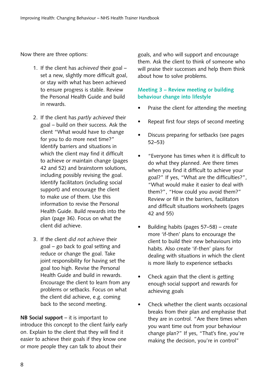Now there are three options:

- 1. If the client has *achieved* their goal set a new, slightly more difficult goal, or stay with what has been achieved to ensure progress is stable. Review the Personal Health Guide and build in rewards.
- 2. If the client has *partly achieved* their goal – build on their success. Ask the client "What would have to change for you to do more next time?" Identify barriers and situations in which the client may find it difficult to achieve or maintain change (pages 42 and 52) and brainstorm solutions, including possibly revising the goal. Identify facilitators (including social support) and encourage the client to make use of them. Use this information to revise the Personal Health Guide. Build rewards into the plan (page 36). Focus on what the client did achieve.
- 3. If the client *did not achieve* their goal – go back to goal setting and reduce or change the goal. Take joint responsibility for having set the goal too high. Revise the Personal Health Guide and build in rewards. Encourage the client to learn from any problems or setbacks. Focus on what the client did achieve, e.g. coming back to the second meeting.

**NB Social support** – it is important to introduce this concept to the client fairly early on. Explain to the client that they will find it easier to achieve their goals if they know one or more people they can talk to about their

goals, and who will support and encourage them. Ask the client to think of someone who will praise their successes and help them think about how to solve problems.

## **Meeting 3 – Review meeting or building behaviour change into lifestyle**

- Praise the client for attending the meeting
- Repeat first four steps of second meeting
- Discuss preparing for setbacks (see pages 52–53)
- • "Everyone has times when it is difficult to do what they planned. Are there times when you find it difficult to achieve your goal?" If yes, "What are the difficulties?", "What would make it easier to deal with them?", "How could you avoid them?" Review or fill in the barriers, facilitators and difficult situations worksheets (pages 42 and 55)
- • Building habits (pages 57–58) create more 'if-then' plans to encourage the client to build their new behaviours into habits. Also create 'if-then' plans for dealing with situations in which the client is more likely to experience setbacks
- Check again that the client is getting enough social support and rewards for achieving goals
- Check whether the client wants occasional breaks from their plan and emphasise that they are in control. "Are there times when you want time out from your behaviour change plan?" If yes, "That's fine, you're making the decision, you're in control"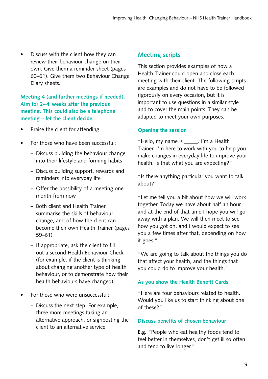<span id="page-12-0"></span>• Discuss with the client how they can review their behaviour change on their own. Give them a reminder sheet (pages 60–61). Give them two Behaviour Change Diary sheets.

## **Meeting 4 (and further meetings if needed). Aim for 2– 4 weeks after the previous meeting. This could also be a telephone meeting – let the client decide.**

- Praise the client for attending
- For those who have been successful:
	- Discuss building the behaviour change into their lifestyle and forming habits
	- Discuss building support, rewards and reminders into everyday life
	- Offer the possibility of a meeting one month from now
	- Both client and Health Trainer summarise the skills of behaviour change, and of how the client can become their own Health Trainer (pages 59–61)
	- If appropriate, ask the client to fill out a second Health Behaviour Check (for example, if the client is thinking about changing another type of health behaviour, or to demonstrate how their health behaviours have changed)
- For those who were unsuccessful:
	- Discuss the next step. For example, three more meetings taking an alternative approach, or signposting the client to an alternative service.

# **Meeting scripts**

This section provides examples of how a Health Trainer could open and close each meeting with their client. The following scripts are examples and do not have to be followed rigorously on every occasion, but it is important to use questions in a similar style and to cover the main points. They can be adapted to meet your own purposes.

### **Opening the session**

"Hello, my name is \_\_\_\_\_. I'm a Health Trainer. I'm here to work with you to help you make changes in everyday life to improve your health. Is that what you are expecting?"

"Is there anything particular you want to talk about?"

"Let me tell you a bit about how we will work together. Today we have about half an hour and at the end of that time I hope you will go away with a plan. We will then meet to see how you got on, and I would expect to see you a few times after that, depending on how it goes."

"We are going to talk about the things you do that affect your health, and the things that you could do to improve your health."

## **As you show the Health Benefit Cards**

"Here are four behaviours related to health. Would you like us to start thinking about one of these?"

## **Discuss benefits of chosen behaviour**

**E.g.** "People who eat healthy foods tend to feel better in themselves, don't get ill so often and tend to live longer."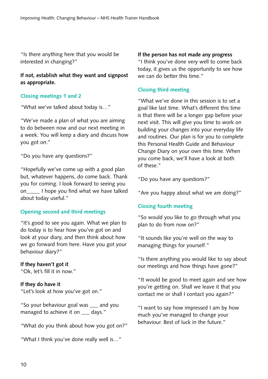"Is there anything here that you would be interested in changing?"

**If not, establish what they want and signpost as appropriate.**

## **Closing meetings 1 and 2**

"What we've talked about today is…"

"We've made a plan of what you are aiming to do between now and our next meeting in a week. You will keep a diary and discuss how you got on."

"Do you have any questions?"

"Hopefully we've come up with a good plan but, whatever happens, do come back. Thank you for coming. I look forward to seeing you on I hope you find what we have talked about today useful."

### **Opening second and third meetings**

"It's good to see you again. What we plan to do today is to hear how you've got on and look at your diary, and then think about how we go forward from here. Have you got your behaviour diary?"

#### **If they haven't got it**

"Ok, let's fill it in now."

### **If they do have it**

"Let's look at how you've got on."

"So your behaviour goal was \_\_\_ and you managed to achieve it on \_\_\_ days."

"What do you think about how you got on?"

"What I think you've done really well is…"

#### **If the person has not made any progress**

"I think you've done very well to come back today, it gives us the opportunity to see how we can do better this time."

### **Closing third meeting**

"What we've done in this session is to set a goal like last time. What's different this time is that there will be a longer gap before your next visit. This will give you time to work on building your changes into your everyday life and routines. Our plan is for you to complete this Personal Health Guide and Behaviour Change Diary on your own this time. When you come back, we'll have a look at both of these."

"Do you have any questions?"

"Are you happy about what we are doing?"

### **Closing fourth meeting**

"So would you like to go through what you plan to do from now on?"

"It sounds like you're well on the way to managing things for yourself."

"Is there anything you would like to say about our meetings and how things have gone?"

"It would be good to meet again and see how you're getting on. Shall we leave it that you contact me or shall I contact you again?"

"I want to say how impressed I am by how much you've managed to change your behaviour. Best of luck in the future."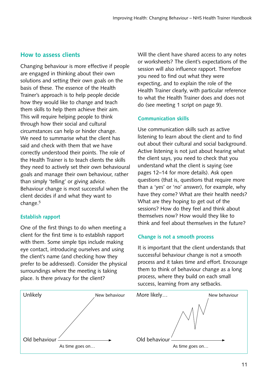# <span id="page-14-0"></span>**How to assess clients**

Changing behaviour is more effective if people are engaged in thinking about their own solutions and setting their own goals on the basis of these. The essence of the Health Trainer's approach is to help people decide how they would like to change and teach them skills to help them achieve their aim. This will require helping people to think through how their social and cultural circumstances can help or hinder change. We need to summarise what the client has said and check with them that we have correctly understood their points. The role of the Health Trainer is to teach clients the skills they need to actively set their own behavioural goals and manage their own behaviour, rather than simply 'telling' or giving advice. Behaviour change is most successful when the client decides if and what they want to change.5

## **Establish rapport**

One of the first things to do when meeting a client for the first time is to establish rapport with them. Some simple tips include making eye contact, introducing ourselves and using the client's name (and checking how they prefer to be addressed). Consider the physical surroundings where the meeting is taking place. Is there privacy for the client?

Will the client have shared access to any notes or worksheets? The client's expectations of the session will also influence rapport. Therefore you need to find out what they were expecting, and to explain the role of the Health Trainer clearly, with particular reference to what the Health Trainer does and does not do (see meeting 1 script on page 9).

## **Communication skills**

Use communication skills such as active listening to learn about the client and to find out about their cultural and social background. Active listening is not just about hearing what the client says, you need to check that you understand what the client is saying (see pages 12–14 for more details). Ask open questions (that is, questions that require more than a 'yes' or 'no' answer), for example, why have they come? What are their health needs? What are they hoping to get out of the sessions? How do they feel and think about themselves now? How would they like to think and feel about themselves in the future?

## **Change is not a smooth process**

It is important that the client understands that successful behaviour change is not a smooth process and it takes time and effort. Encourage them to think of behaviour change as a long process, where they build on each small success, learning from any setbacks.

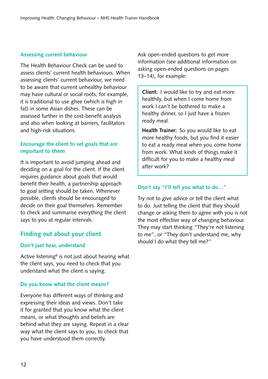### <span id="page-15-0"></span>**Assessing current behaviour**

The Health Behaviour Check can be used to assess clients' current health behaviours. When assessing clients' current behaviour, we need to be aware that current unhealthy behaviour may have cultural or social roots, for example, it is traditional to use ghee (which is high in fat) in some Asian dishes. These can be assessed further in the cost-benefit analysis and also when looking at barriers, facilitators and high-risk situations.

## **Encourage the client to set goals that are important to** *them*

It is important to avoid jumping ahead and deciding on a goal for the client. If the client requires guidance about goals that would benefit their health, a partnership approach to goal setting should be taken. Whenever possible, clients should be encouraged to decide on their goal themselves. Remember to check and summarise everything the client says to you at regular intervals.

# **Finding out about your client**

### **Don't just hear, understand**

Active listening<sup>6</sup> is not just about hearing what the client says, you need to check that you understand what the client is saying.

## **Do you know what the client means?**

Everyone has different ways of thinking and expressing their ideas and views. Don't take it for granted that you know what the client means, or what thoughts and beliefs are behind what they are saying. Repeat in a clear way what the client says to you, to check that you have understood them correctly.

Ask open-ended questions to get more information (see additional information on asking open-ended questions on pages 13–14), for example:

**Client:** I would like to try and eat more healthily, but when I come home from work I can't be bothered to make a healthy dinner, so I just have a frozen ready meal.

**Health Trainer:** So you would like to eat more healthy foods, but you find it easier to eat a ready meal when you come home from work. What kinds of things make it difficult for you to make a healthy meal after work?

## **Don't say "I'll tell you what to do…"**

Try not to give advice or tell the client what to do. Just telling the client that they should change or asking them to agree with you is not the most effective way of changing behaviour. They may start thinking "They're not listening to me", or "They don't understand me, why should I do what they tell me?"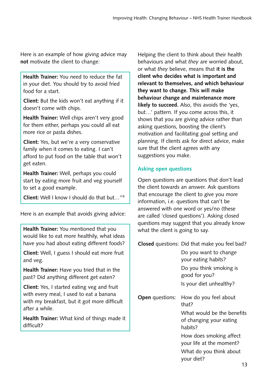Here is an example of how giving advice may **not** motivate the client to change:

**Health Trainer:** You need to reduce the fat in your diet. You should try to avoid fried food for a start.

**Client:** But the kids won't eat anything if it doesn't come with chips.

**Health Trainer:** Well chips aren't very good for them either, perhaps you could all eat more rice or pasta dishes.

**Client:** Yes, but we're a very conservative family when it comes to eating. I can't afford to put food on the table that won't get eaten.

**Health Trainer:** Well, perhaps you could start by eating more fruit and veg yourself to set a good example.

**Client:** Well I know I should do that but…"9

Here is an example that avoids giving advice:

**Health Trainer:** You mentioned that you would like to eat more healthily, what ideas have you had about eating different foods?

**Client:** Well, I guess I should eat more fruit and veg.

**Health Trainer:** Have you tried that in the past? Did anything different get eaten?

**Client:** Yes, I started eating veg and fruit with every meal, I used to eat a banana with my breakfast, but it got more difficult after a while.

**Health Trainer:** What kind of things made it difficult?

Helping the client to think about their health behaviours and what *they* are worried about, or what *they* believe, means that **it is the client who decides what is important and relevant to themselves, and which behaviour they want to change. This will make behaviour change and maintenance more likely to succeed.** Also, this avoids the 'yes, but…' pattern. If you come across this, it shows that you are giving advice rather than asking questions, boosting the client's motivation and facilitating goal setting and planning. If clients ask for direct advice, make sure that the client agrees with any suggestions you make.

# **Asking open questions**

Open questions are questions that don't lead the client towards an answer. Ask questions that encourage the client to give you more information, i.e. questions that can't be answered with one word or yes/no (these are called 'closed questions'). Asking closed questions may suggest that you already know what the client is going to say.

**Closed** questions: Did that make you feel bad?

|                        | Do you want to change<br>your eating habits?                     |
|------------------------|------------------------------------------------------------------|
|                        | Do you think smoking is<br>good for you?                         |
|                        | Is your diet unhealthy?                                          |
| <b>Open</b> questions: | How do you feel about<br>that?                                   |
|                        | What would be the benefits<br>of changing your eating<br>habits? |
|                        | How does smoking affect<br>your life at the moment?              |
|                        | What do you think about<br>your diet?                            |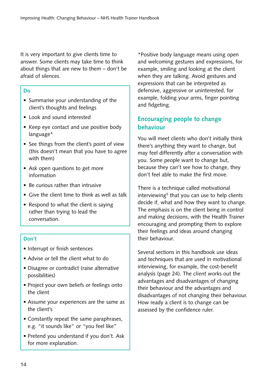<span id="page-17-0"></span>It is very important to give clients time to answer. Some clients may take time to think about things that are new to them – don't be afraid of silences.

#### **Do**

- Summarise your understanding of the client's thoughts and feelings
- Look and sound interested
- Keep eye contact and use positive body language\*
- See things from the client's point of view (this doesn't mean that you have to agree with them)
- Ask open questions to get more information
- Be curious rather than intrusive
- Give the client time to think as well as talk
- Respond to what the client is saying rather than trying to lead the conversation.

## **Don't**

- **•** Interrupt or finish sentences
- **•** Advise or tell the client what to do
- Disagree or contradict (raise alternative possibilities)
- Project your own beliefs or feelings onto the client
- Assume your experiences are the same as the client's
- Constantly repeat the same paraphrases, e.g. "it sounds like" or "you feel like"
- Pretend you understand if you don't. Ask for more explanation.

\*Positive body language means using open and welcoming gestures and expressions, for example, smiling and looking at the client when they are talking. Avoid gestures and expressions that can be interpreted as defensive, aggressive or uninterested, for example, folding your arms, finger pointing and fidgeting.

# **Encouraging people to change behaviour**

You will meet clients who don't initially think there's anything they want to change, but may feel differently after a conversation with you. Some people want to change but, because they can't see how to change, they don't feel able to make the first move.

There is a technique called motivational interviewing<sup>5</sup> that you can use to help clients decide if, what and how they want to change. The emphasis is on the client being in control and making decisions, with the Health Trainer encouraging and prompting them to explore their feelings and ideas around changing their behaviour.

Several sections in this handbook use ideas and techniques that are used in motivational interviewing, for example, the cost-benefit analysis (page 24). The *client* works out the advantages and disadvantages of changing their behaviour and the advantages and disadvantages of not changing their behaviour. How ready a client is to change can be assessed by the confidence ruler.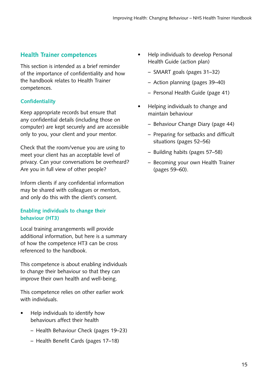# <span id="page-18-0"></span>**Health Trainer competences**

This section is intended as a brief reminder of the importance of confidentiality and how the handbook relates to Health Trainer competences.

## **Confidentiality**

Keep appropriate records but ensure that any confidential details (including those on computer) are kept securely and are accessible only to you, your client and your mentor.

Check that the room/venue you are using to meet your client has an acceptable level of privacy. Can your conversations be overheard? Are you in full view of other people?

Inform clients if any confidential information may be shared with colleagues or mentors, and only do this with the client's consent.

## **Enabling individuals to change their behaviour (HT3)**

Local training arrangements will provide additional information, but here is a summary of how the competence HT3 can be cross referenced to the handbook.

This competence is about enabling individuals to change their behaviour so that they can improve their own health and well-being.

This competence relies on other earlier work with individuals.

- Help individuals to identify how behaviours affect their health
	- Health Behaviour Check (pages 19–23)
	- Health Benefit Cards (pages 17–18)
- Help individuals to develop Personal Health Guide (action plan)
	- SMART goals (pages 31–32)
	- Action planning (pages 39–40)
	- Personal Health Guide (page 41)
- Helping individuals to change and maintain behaviour
	- Behaviour Change Diary (page 44)
	- Preparing for setbacks and difficult situations (pages 52–56)
	- Building habits (pages 57–58)
	- Becoming your own Health Trainer (pages 59–60).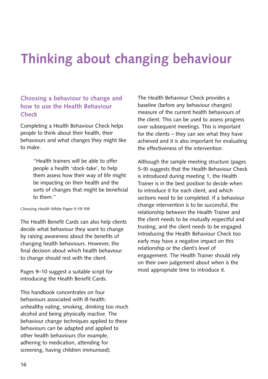# <span id="page-19-0"></span>**Thinking about changing behaviour**

# **Choosing a behaviour to change and how to use the Health Behaviour Check**

Completing a Health Behaviour Check helps people to think about their health, their behaviours and what changes they might like to make.

> "Health trainers will be able to offer people a health 'stock-take', to help them assess how their way of life might be impacting on their health and the sorts of changes that might be beneficial to them."

#### *Choosing Health* White Paper 5:19:109

The Health Benefit Cards can also help clients decide what behaviour they want to change by raising awareness about the benefits of changing health behaviours. However, the final decision about which health behaviour to change should rest with the client.

Pages 9–10 suggest a suitable script for introducing the Health Benefit Cards.

This handbook concentrates on four behaviours associated with ill-health: unhealthy eating, smoking, drinking too much alcohol and being physically inactive. The behaviour change techniques applied to these behaviours can be adapted and applied to other health behaviours (for example, adhering to medication, attending for screening, having children immunised).

The Health Behaviour Check provides a baseline (before any behaviour changes) measure of the current health behaviours of the client. This can be used to assess progress over subsequent meetings. This is important for the clients – they can see what they have achieved and it is also important for evaluating the effectiveness of the intervention.

Although the sample meeting structure (pages 5–9) suggests that the Health Behaviour Check is introduced during meeting 1, the Health Trainer is in the best position to decide when to introduce it for each client, and which sections need to be completed. If a behaviour change intervention is to be successful, the relationship between the Health Trainer and the client needs to be mutually respectful and trusting, and the client needs to be engaged. Introducing the Health Behaviour Check too early may have a negative impact on this relationship or the client's level of engagement. The Health Trainer should rely on their own judgement about when is the most appropriate time to introduce it.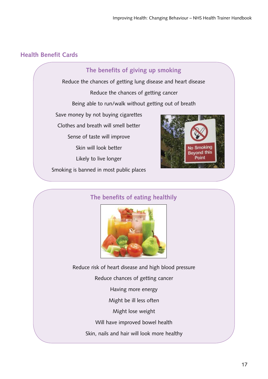# <span id="page-20-0"></span>**Health Benefit Cards**



# **The benefits of eating healthily**



Reduce risk of heart disease and high blood pressure Reduce chances of getting cancer Having more energy Might be ill less often Might lose weight Will have improved bowel health Skin, nails and hair will look more healthy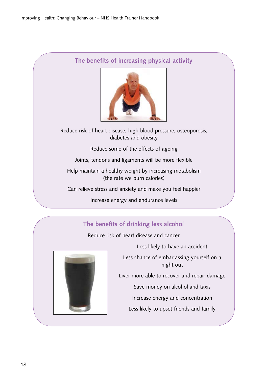# **The benefits of increasing physical activity**



Reduce risk of heart disease, high blood pressure, osteoporosis, diabetes and obesity

Reduce some of the effects of ageing

Joints, tendons and ligaments will be more flexible

Help maintain a healthy weight by increasing metabolism (the rate we burn calories)

Can relieve stress and anxiety and make you feel happier

Increase energy and endurance levels

# **The benefits of drinking less alcohol**

Reduce risk of heart disease and cancer



Less likely to have an accident

Less chance of embarrassing yourself on a night out

Liver more able to recover and repair damage

Save money on alcohol and taxis

Increase energy and concentration

Less likely to upset friends and family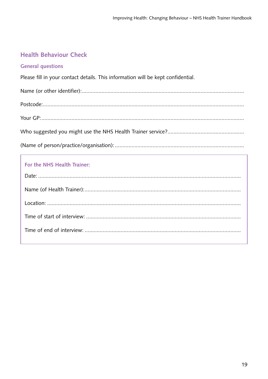# <span id="page-22-0"></span>**Health Behaviour Check**

### **General questions**

Please fill in your contact details. This information will be kept confidential.

## For the NHS Health Trainer: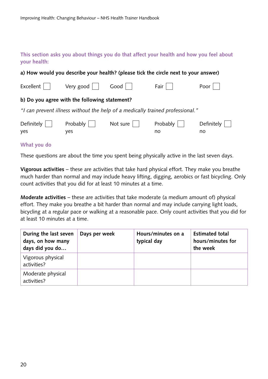## **This section asks you about things you do that affect your health and how you feel about your health:**

|                   |                                               |          | a) How would you describe your health? (please tick the circle next to your answer) |                  |
|-------------------|-----------------------------------------------|----------|-------------------------------------------------------------------------------------|------------------|
| Excellent         | Very good                                     | Good     | Fair                                                                                | Poor             |
|                   | b) Do you agree with the following statement? |          |                                                                                     |                  |
|                   |                                               |          | "I can prevent illness without the help of a medically trained professional."       |                  |
| Definitely<br>yes | Probably<br>yes                               | Not sure | Probably<br>no                                                                      | Definitely<br>no |
| $Mhat + W$        |                                               |          |                                                                                     |                  |

#### **What you do**

These questions are about the time you spent being physically active in the last seven days.

**Vigorous activities** – these are activities that take hard physical effort. They make you breathe much harder than normal and may include heavy lifting, digging, aerobics or fast bicycling. Only count activities that you did for at least 10 minutes at a time.

**Moderate activities** – these are activities that take moderate (a medium amount of) physical effort. They make you breathe a bit harder than normal and may include carrying light loads, bicycling at a regular pace or walking at a reasonable pace. Only count activities that you did for at least 10 minutes at a time.

| During the last seven<br>days, on how many<br>days did you do | Days per week | Hours/minutes on a<br>typical day | <b>Estimated total</b><br>hours/minutes for<br>the week |
|---------------------------------------------------------------|---------------|-----------------------------------|---------------------------------------------------------|
| Vigorous physical<br>activities?                              |               |                                   |                                                         |
| Moderate physical<br>activities?                              |               |                                   |                                                         |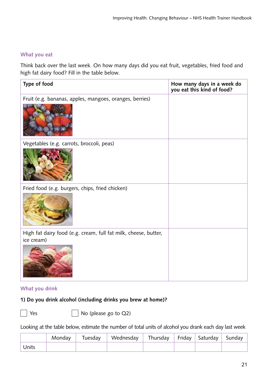#### **What you eat**

Think back over the last week. On how many days did you eat fruit, vegetables, fried food and high fat dairy food? Fill in the table below.

| Type of food                                                    | How many days in a week do<br>you eat this kind of food? |
|-----------------------------------------------------------------|----------------------------------------------------------|
| Fruit (e.g. bananas, apples, mangoes, oranges, berries)         |                                                          |
| Vegetables (e.g. carrots, broccoli, peas)                       |                                                          |
|                                                                 |                                                          |
| Fried food (e.g. burgers, chips, fried chicken)                 |                                                          |
|                                                                 |                                                          |
| High fat dairy food (e.g. cream, full fat milk, cheese, butter, |                                                          |
| ice cream)                                                      |                                                          |

#### **What you drink**

# **1) Do you drink alcohol (including drinks you brew at home)?**

 $\sqrt{\phantom{a}}$  No (please go to Q2)

Looking at the table below, estimate the number of total units of alcohol you drank each day last week

|       | Monday | Tuesday | Wednesday | Thursday   Friday   Saturday   Sunday |  |  |
|-------|--------|---------|-----------|---------------------------------------|--|--|
| Units |        |         |           |                                       |  |  |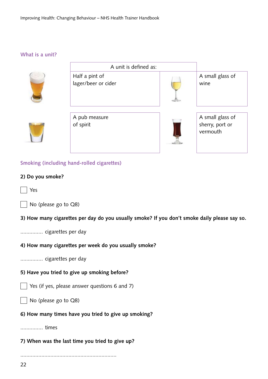**What is a unit?** 



**Smoking (including hand-rolled cigarettes)**

#### **2) Do you smoke?**

Yes

|  |  | No (please go to Q8) |  |  |  |
|--|--|----------------------|--|--|--|
|--|--|----------------------|--|--|--|

**3) How many cigarettes per day do you usually smoke? If you don't smoke daily please say so.**

............... cigarettes per day

#### **4) How many cigarettes per week do you usually smoke?**

............... cigarettes per day

#### **5) Have you tried to give up smoking before?**

Yes (if yes, please answer questions 6 and 7)

No (please go to Q8)

**6) How many times have you tried to give up smoking?**

............... times

### **7) When was the last time you tried to give up?**

................................................................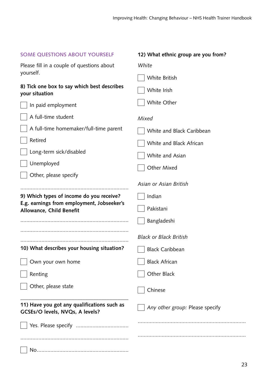| <b>SOME QUESTIONS ABOUT YOURSELF</b>                                                   | 12) What ethnic group are you from? |  |  |
|----------------------------------------------------------------------------------------|-------------------------------------|--|--|
| Please fill in a couple of questions about                                             | White                               |  |  |
| yourself.                                                                              | White British                       |  |  |
| 8) Tick one box to say which best describes<br>your situation                          | White Irish                         |  |  |
| In paid employment                                                                     | White Other                         |  |  |
| A full-time student                                                                    | Mixed                               |  |  |
| A full-time homemaker/full-time parent                                                 | White and Black Caribbean           |  |  |
| Retired                                                                                | White and Black African             |  |  |
| Long-term sick/disabled                                                                | White and Asian                     |  |  |
| Unemployed                                                                             | <b>Other Mixed</b>                  |  |  |
| Other, please specify                                                                  |                                     |  |  |
|                                                                                        | Asian or Asian British              |  |  |
| 9) Which types of income do you receive?<br>E.g. earnings from employment, Jobseeker's | Indian                              |  |  |
| Allowance, Child Benefit                                                               | Pakistani                           |  |  |
|                                                                                        | Bangladeshi                         |  |  |
|                                                                                        | <b>Black or Black British</b>       |  |  |
| 10) What describes your housing situation?                                             | <b>Black Caribbean</b>              |  |  |
| Own your own home                                                                      | <b>Black African</b>                |  |  |
| Renting                                                                                | Other Black                         |  |  |
| Other, please state                                                                    | Chinese                             |  |  |
| 11) Have you got any qualifications such as<br>GCSEs/O levels, NVQs, A levels?         | Any other group: Please specify     |  |  |
|                                                                                        |                                     |  |  |
|                                                                                        |                                     |  |  |
|                                                                                        |                                     |  |  |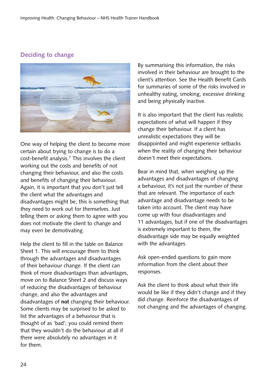# <span id="page-27-0"></span>**Deciding to change**



One way of helping the client to become more certain about trying to change is to do a cost-benefit analysis.7 This involves the client working out the costs and benefits of not changing their behaviour, and also the costs and benefits of changing their behaviour. Again, it is important that you don't just tell the client what the advantages and disadvantages might be, this is something that they need to work out for themselves. Just telling them or asking them to agree with you does not motivate the client to change and may even be demotivating.

Help the client to fill in the table on Balance Sheet 1. This will encourage them to think through the advantages and disadvantages of their behaviour change. If the client can think of more disadvantages than advantages, move on to Balance Sheet 2 and discuss ways of reducing the disadvantages of behaviour change, and also the advantages and disadvantages of **not** changing their behaviour. Some clients may be surprised to be asked to list the advantages of a behaviour that is thought of as 'bad'; you could remind them that they wouldn't do the behaviour at all if there were absolutely no advantages in it for them.

By summarising this information, the risks involved in their behaviour are brought to the client's attention. See the Health Benefit Cards for summaries of some of the risks involved in unhealthy eating, smoking, excessive drinking and being physically inactive.

It is also important that the client has realistic expectations of what will happen if they change their behaviour. If a client has unrealistic expectations they will be disappointed and might experience setbacks when the reality of changing their behaviour doesn't meet their expectations.

Bear in mind that, when weighing up the advantages and disadvantages of changing a behaviour, it's not just the number of these that are relevant. The importance of each advantage and disadvantage needs to be taken into account. The client may have come up with four disadvantages and 11 advantages, but if one of the disadvantages is extremely important to them, the disadvantage side may be equally weighted with the advantages.

Ask open-ended questions to gain more information from the client about their responses.

Ask the client to think about what their life would be like if they didn't change and if they did change. Reinforce the disadvantages of not changing and the advantages of changing.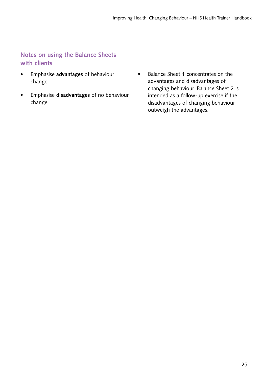# <span id="page-28-0"></span>**Notes on using the Balance Sheets with clients**

- • Emphasise **advantages** of behaviour change
- • Emphasise **disadvantages** of no behaviour change
- • Balance Sheet 1 concentrates on the advantages and disadvantages of changing behaviour. Balance Sheet 2 is intended as a follow-up exercise if the disadvantages of changing behaviour outweigh the advantages.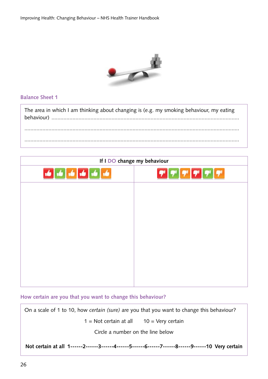Improving Health: Changing Behaviour – NHS Health Trainer Handbook



### **Balance Sheet 1**

The area in which I am thinking about changing is (e.g. my smoking behaviour, my eating behaviour) ............................................................................................................................. ............................................................................................................................................... ...............................................................................................................................................

| If I DO change my behaviour |                                                                  |
|-----------------------------|------------------------------------------------------------------|
|                             | $\mathbf{F}$ $\mathbf{F}$ $\mathbf{F}$ $\mathbf{F}$ $\mathbf{F}$ |
|                             |                                                                  |
|                             |                                                                  |
|                             |                                                                  |
|                             |                                                                  |
|                             |                                                                  |
|                             |                                                                  |
|                             |                                                                  |

#### **How certain are you that you want to change this behaviour?**

On a scale of 1 to 10, how *certain (sure)* are you that you want to change this behaviour?

 $1 = Not certain at all 10 = Very certain$ 

Circle a number on the line below

**Not certain at all 1------2------3------4------5------6------7------8------9------10 Very certain**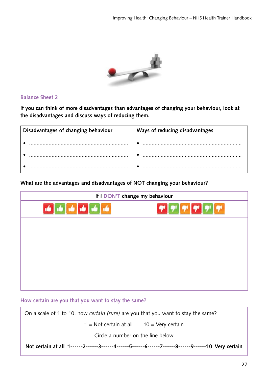

#### **Balance Sheet 2**

**If you can think of more disadvantages than advantages of changing your behaviour, look at the disadvantages and discuss ways of reducing them.**

| Disadvantages of changing behaviour | Ways of reducing disadvantages |
|-------------------------------------|--------------------------------|
|                                     |                                |
|                                     |                                |
|                                     |                                |

#### **What are the advantages and disadvantages of NOT changing your behaviour?**

| If I DON'T change my behaviour |    |
|--------------------------------|----|
| ŵ                              | 77 |
|                                |    |
|                                |    |
|                                |    |
|                                |    |
|                                |    |

#### **How certain are you that you want to stay the same?**

On a scale of 1 to 10, how *certain (sure)* are you that you want to stay the same?

 $1 = Not certain at all 10 = Very certain$ 

Circle a number on the line below

**Not certain at all 1------2------3------4------5------6------7------8------9------10 Very certain**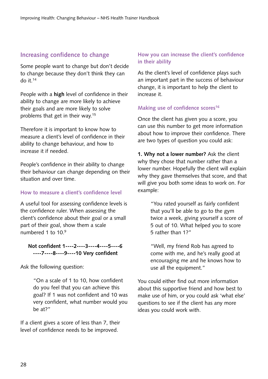# <span id="page-31-0"></span>**Increasing confidence to change**

Some people want to change but don't decide to change because they don't think they can do it.14

People with a **high** level of confidence in their ability to change are more likely to achieve their goals and are more likely to solve problems that get in their way.15

Therefore it is important to know how to measure a client's level of confidence in their ability to change behaviour, and how to increase it if needed.

People's confidence in their ability to change their behaviour can change depending on their situation and over time.

### **How to measure a client's confidence level**

A useful tool for assessing confidence levels is the confidence ruler. When assessing the client's confidence about their goal or a small part of their goal, show them a scale numbered 1 to 10<sup>9</sup>

#### **Not confident 1----2----3----4----5----6 ----7----8----9----10 Very confident**

Ask the following question:

"On a scale of 1 to 10, how confident do you feel that you can achieve this goal? If 1 was not confident and 10 was very confident, what number would you be at?"

If a client gives a score of less than 7, their level of confidence needs to be improved.

## **How you can increase the client's confidence in their ability**

As the client's level of confidence plays such an important part in the success of behaviour change, it is important to help the client to increase it.

### **Making use of confidence scores16**

Once the client has given you a score, you can use this number to get more information about how to improve their confidence. There are two types of question you could ask:

**1. Why not a lower number?** Ask the client why they chose that number rather than a lower number. Hopefully the client will explain why they gave themselves that score, and that will give you both some ideas to work on. For example:

> "You rated yourself as fairly confident that you'll be able to go to the gym twice a week, giving yourself a score of 5 out of 10. What helped you to score 5 rather than 1?"

"Well, my friend Rob has agreed to come with me, and he's really good at encouraging me and he knows how to use all the equipment."

You could either find out more information about this supportive friend and how best to make use of him, or you could ask 'what else' questions to see if the client has any more ideas you could work with.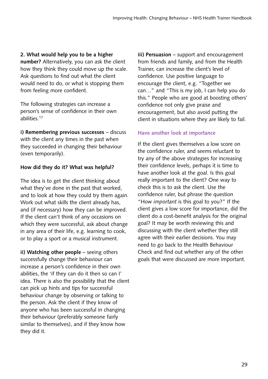**2. What would help you to be a higher number?** Alternatively, you can ask the client how they think they could move up the scale. Ask questions to find out what the client would need to do, or what is stopping them from feeling more confident.

The following strategies can increase a person's sense of confidence in their own abilities.17

**i) Remembering previous successes** – discuss with the client any times in the past when they succeeded in changing their behaviour (even temporarily).

# **How did they do it? What was helpful?**

The idea is to get the client thinking about what they've done in the past that worked, and to look at how they could try them again. Work out what skills the client already has, and (if necessary) how they can be improved. If the client can't think of any occasions on which they were successful, ask about change in any area of their life, e.g. learning to cook, or to play a sport or a musical instrument.

**ii) Watching other people** – seeing others successfully change their behaviour can increase a person's confidence in their own abilities, the 'if they can do it then so can I' idea. There is also the possibility that the client can pick up hints and tips for successful behaviour change by observing or talking to the person. Ask the client if they know of anyone who has been successful in changing their behaviour (preferably someone fairly similar to themselves), and if they know how they did it.

**iii) Persuasion** – support and encouragement from friends and family, and from the Health Trainer, can increase the client's level of confidence. Use positive language to encourage the client, e.g. "Together we can…" and "This is my job, I can help you do this." People who are good at boosting others' confidence not only give praise and encouragement, but also avoid putting the client in situations where they are likely to fail.

# **Have another look at importance**

If the client gives themselves a low score on the confidence ruler, and seems reluctant to try any of the above strategies for increasing their confidence levels, perhaps it is time to have another look at the goal. Is this goal really important to the client? One way to check this is to ask the client. Use the confidence ruler, but phrase the question "How *important* is this goal to you?" If the client gives a low score for importance, did the client do a cost-benefit analysis for the original goal? It may be worth reviewing this and discussing with the client whether they still agree with their earlier decisions. You may need to go back to the Health Behaviour Check and find out whether any of the other goals that were discussed are more important.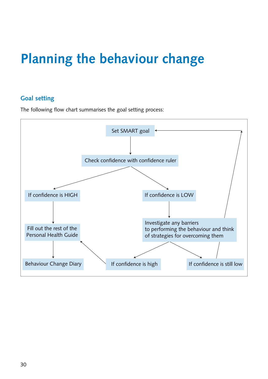# <span id="page-33-0"></span>**Planning the behaviour change**

# **Goal setting**

The following flow chart summarises the goal setting process:

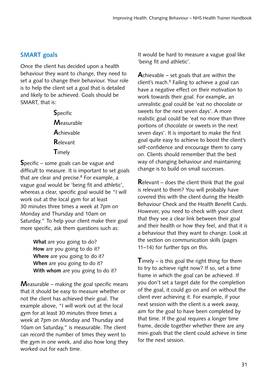# <span id="page-34-0"></span>**SMART goals**

Once the client has decided upon a health behaviour they want to change, they need to set a goal to change their behaviour. Your role is to help the client set a goal that is detailed and likely to be achieved. Goals should be SMART, that is:

> **S**pecific **M**easurable **A**chievable **R**elevant **T**imely

**S**pecific – some goals can be vague and difficult to measure. It is important to set goals that are clear and precise. $8$  For example, a vague goal would be 'being fit and athletic', whereas a clear, specific goal would be "I will work out at the local gym for at least 30 minutes three times a week at 7pm on Monday and Thursday and 10am on Saturday." To help your client make their goal more specific, ask them questions such as:

> **What** are you going to do? **How** are you going to do it? **Where** are you going to do it? **When** are you going to do it? **With whom** are you going to do it?

**M**easurable – making the goal specific means that it should be easy to measure whether or not the client has achieved their goal. The example above, "I will work out at the local gym for at least 30 minutes three times a week at 7pm on Monday and Thursday and 10am on Saturday," is measurable. The client can record the number of times they went to the gym in one week, and also how long they worked out for each time.

It would be hard to measure a vague goal like 'being fit and athletic'.

**A**chievable – set goals that are within the client's reach.9 Failing to achieve a goal can have a negative effect on their motivation to work towards their goal. For example, an unrealistic goal could be 'eat no chocolate or sweets for the next seven days'. A more realistic goal could be 'eat no more than three portions of chocolate or sweets in the next seven days'. It is important to make the first goal quite easy to achieve to boost the client's self-confidence and encourage them to carry on. Clients should remember that the best way of changing behaviour and maintaining change is to build on small successes.

**R**elevant – does the client think that the goal is relevant to them? You will probably have covered this with the client during the Health Behaviour Check and the Health Benefit Cards. However, you need to check with your client that they see a clear link between their goal and their health or how they feel, and that it is a behaviour that they want to change. Look at the section on communication skills (pages 11–14) for further tips on this.

**T**imely – is this goal the right thing for them to try to achieve right now? If so, set a time frame in which the goal can be achieved. If you don't set a target date for the completion of the goal, it could go on and on without the client ever achieving it. For example, if your next session with the client is a week away, aim for the goal to have been completed by that time. If the goal requires a longer time frame, decide together whether there are any mini-goals that the client could achieve in time for the next session.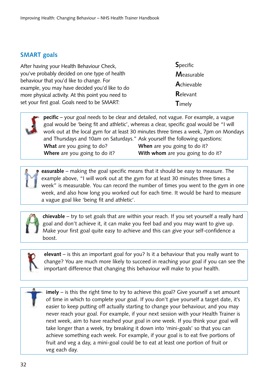# <span id="page-35-0"></span>**SMART goals**

After having your Health Behaviour Check, you've probably decided on one type of health behaviour that you'd like to change. For example, you may have decided you'd like to do more physical activity. At this point you need to set your first goal. Goals need to be SMART:

**S**pecific **M**easurable **A**chievable **R**elevant **T**imely

**pecific** – your goal needs to be clear and detailed, not vague. For example, a vague goal would be 'being fit and athletic', whereas a clear, specific goal would be "I will work out at the local gym for at least 30 minutes three times a week, 7pm on Mondays and Thursdays and 10am on Saturdays." Ask yourself the following questions: **What** are you going to do? **When** are you going to do it? **Where** are you going to do it? **With whom** are you going to do it?

**easurable** – making the goal specific means that it should be easy to measure. The example above, "I will work out at the gym for at least 30 minutes three times a week" is measurable. You can record the number of times you went to the gym in one week, and also how long you worked out for each time. It would be hard to measure a vague goal like 'being fit and athletic'.



**chievable** – try to set goals that are within your reach. If you set yourself a really hard goal and don't achieve it, it can make you feel bad and you may want to give up. Make your first goal quite easy to achieve and this can give your self-confidence a boost.



**elevant** – is this an important goal for you? Is it a behaviour that you really want to change? You are much more likely to succeed in reaching your goal if you can see the important difference that changing this behaviour will make to your health.

**imely** – is this the right time to try to achieve this goal? Give yourself a set amount of time in which to complete your goal. If you don't give yourself a target date, it's easier to keep putting off actually starting to change your behaviour, and you may never reach your goal. For example, if your next session with your Health Trainer is next week, aim to have reached your goal in one week. If you think your goal will take longer than a week, try breaking it down into 'mini-goals' so that you can achieve something each week. For example, if your goal is to eat five portions of fruit and veg a day, a mini-goal could be to eat at least one portion of fruit or veg each day.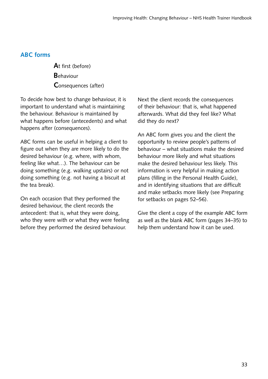# **ABC forms**

**A**t first (before) **B**ehaviour **C**onsequences (after)

To decide how best to change behaviour, it is important to understand what is maintaining the behaviour. Behaviour is maintained by what happens before (antecedents) and what happens after (consequences).

ABC forms can be useful in helping a client to figure out when they are more likely to do the desired behaviour (e.g. where, with whom, feeling like what…). The behaviour can be doing something (e.g. walking upstairs) or not doing something (e.g. not having a biscuit at the tea break).

On each occasion that they performed the desired behaviour, the client records the antecedent: that is, what they were doing, who they were with or what they were feeling before they performed the desired behaviour.

Next the client records the consequences of their behaviour: that is, what happened afterwards. What did they feel like? What did they do next?

An ABC form gives you and the client the opportunity to review people's patterns of behaviour – what situations make the desired behaviour more likely and what situations make the desired behaviour less likely. This information is very helpful in making action plans (filling in the Personal Health Guide), and in identifying situations that are difficult and make setbacks more likely (see Preparing for setbacks on pages 52–56).

Give the client a copy of the example ABC form as well as the blank ABC form (pages 34–35) to help them understand how it can be used.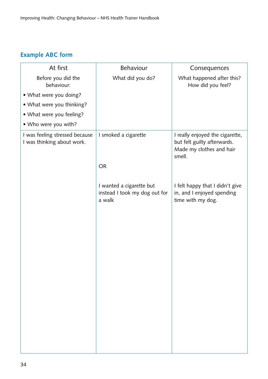# **Example ABC form**

| At first                                                     | Behaviour                                                           | Consequences                                                                                         |
|--------------------------------------------------------------|---------------------------------------------------------------------|------------------------------------------------------------------------------------------------------|
| Before you did the<br>behaviour:                             | What did you do?                                                    | What happened after this?<br>How did you feel?                                                       |
| • What were you doing?                                       |                                                                     |                                                                                                      |
| • What were you thinking?                                    |                                                                     |                                                                                                      |
| • What were you feeling?                                     |                                                                     |                                                                                                      |
| • Who were you with?                                         |                                                                     |                                                                                                      |
| I was feeling stressed because<br>I was thinking about work. | I smoked a cigarette                                                | I really enjoyed the cigarette,<br>but felt guilty afterwards.<br>Made my clothes and hair<br>smell. |
|                                                              | <b>OR</b>                                                           |                                                                                                      |
|                                                              |                                                                     |                                                                                                      |
|                                                              | I wanted a cigarette but<br>instead I took my dog out for<br>a walk | I felt happy that I didn't give<br>in, and I enjoyed spending<br>time with my dog.                   |
|                                                              |                                                                     |                                                                                                      |
|                                                              |                                                                     |                                                                                                      |
|                                                              |                                                                     |                                                                                                      |
|                                                              |                                                                     |                                                                                                      |
|                                                              |                                                                     |                                                                                                      |
|                                                              |                                                                     |                                                                                                      |
|                                                              |                                                                     |                                                                                                      |
|                                                              |                                                                     |                                                                                                      |
|                                                              |                                                                     |                                                                                                      |
|                                                              |                                                                     |                                                                                                      |
|                                                              |                                                                     |                                                                                                      |
|                                                              |                                                                     |                                                                                                      |
|                                                              |                                                                     |                                                                                                      |
|                                                              |                                                                     |                                                                                                      |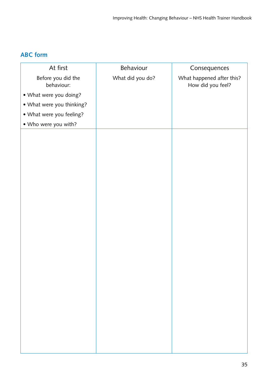# **ABC form**

| At first                         | Behaviour        | Consequences                                   |
|----------------------------------|------------------|------------------------------------------------|
| Before you did the<br>behaviour: | What did you do? | What happened after this?<br>How did you feel? |
| • What were you doing?           |                  |                                                |
| • What were you thinking?        |                  |                                                |
| • What were you feeling?         |                  |                                                |
| • Who were you with?             |                  |                                                |
|                                  |                  |                                                |
|                                  |                  |                                                |
|                                  |                  |                                                |
|                                  |                  |                                                |
|                                  |                  |                                                |
|                                  |                  |                                                |
|                                  |                  |                                                |
|                                  |                  |                                                |
|                                  |                  |                                                |
|                                  |                  |                                                |
|                                  |                  |                                                |
|                                  |                  |                                                |
|                                  |                  |                                                |
|                                  |                  |                                                |
|                                  |                  |                                                |
|                                  |                  |                                                |
|                                  |                  |                                                |
|                                  |                  |                                                |
|                                  |                  |                                                |
|                                  |                  |                                                |
|                                  |                  |                                                |
|                                  |                  |                                                |
|                                  |                  |                                                |
|                                  |                  |                                                |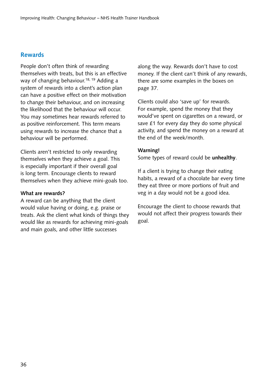# **Rewards**

People don't often think of rewarding themselves with treats, but this is an effective way of changing behaviour.<sup>18, 19</sup> Adding a system of rewards into a client's action plan can have a positive effect on their motivation to change their behaviour, and on increasing the likelihood that the behaviour will occur. You may sometimes hear rewards referred to as positive reinforcement. This term means using rewards to increase the chance that a behaviour will be performed.

Clients aren't restricted to only rewarding themselves when they achieve a goal. This is especially important if their overall goal is long term. Encourage clients to reward themselves when they achieve mini-goals too.

#### **What are rewards?**

A reward can be anything that the client would value having or doing, e.g. praise or treats. Ask the client what kinds of things they would like as rewards for achieving mini-goals and main goals, and other little successes

along the way. Rewards don't have to cost money. If the client can't think of any rewards, there are some examples in the boxes on page 37.

Clients could also 'save up' for rewards. For example, spend the money that they would've spent on cigarettes on a reward, or save £1 for every day they do some physical activity, and spend the money on a reward at the end of the week/month.

# **Warning!**

Some types of reward could be **unhealthy**.

If a client is trying to change their eating habits, a reward of a chocolate bar every time they eat three or more portions of fruit and veg in a day would not be a good idea.

Encourage the client to choose rewards that would not affect their progress towards their goal.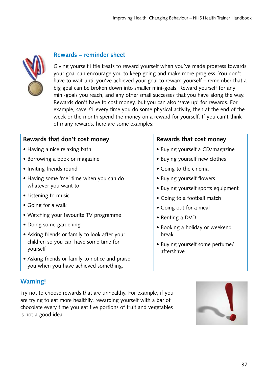

# **Rewards – reminder sheet**

Giving yourself little treats to reward yourself when you've made progress towards your goal can encourage you to keep going and make more progress. You don't have to wait until you've achieved your goal to reward yourself – remember that a big goal can be broken down into smaller mini-goals. Reward yourself for any mini-goals you reach, and any other small successes that you have along the way. Rewards don't have to cost money, but you can also 'save up' for rewards. For example, save £1 every time you do some physical activity, then at the end of the week or the month spend the money on a reward for yourself. If you can't think of many rewards, here are some examples:

# **Rewards that don't cost money**

- Having a nice relaxing bath
- Borrowing a book or magazine
- Inviting friends round
- Having some 'me' time when you can do whatever you want to
- Listening to music
- Going for a walk
- Watching your favourite TV programme
- Doing some gardening
- Asking friends or family to look after your children so you can have some time for yourself
- Asking friends or family to notice and praise you when you have achieved something.

# **Warning!**

Try not to choose rewards that are unhealthy. For example, if you are trying to eat more healthily, rewarding yourself with a bar of chocolate every time you eat five portions of fruit and vegetables is not a good idea.

# **Rewards that cost money**

- Buying yourself a CD/magazine
- Buying yourself new clothes
- Going to the cinema
- Buying yourself flowers
- Buying yourself sports equipment
- Going to a football match
- Going out for a meal
- Renting a DVD
- Booking a holiday or weekend break
- Buying yourself some perfume/ aftershave.

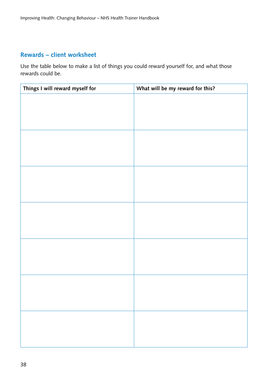# **Rewards – client worksheet**

Use the table below to make a list of things you could reward yourself for, and what those rewards could be.

| Things I will reward myself for | What will be my reward for this? |
|---------------------------------|----------------------------------|
|                                 |                                  |
|                                 |                                  |
|                                 |                                  |
|                                 |                                  |
|                                 |                                  |
|                                 |                                  |
|                                 |                                  |
|                                 |                                  |
|                                 |                                  |
|                                 |                                  |
|                                 |                                  |
|                                 |                                  |
|                                 |                                  |
|                                 |                                  |
|                                 |                                  |
|                                 |                                  |
|                                 |                                  |
|                                 |                                  |
|                                 |                                  |
|                                 |                                  |
|                                 |                                  |
|                                 |                                  |
|                                 |                                  |
|                                 |                                  |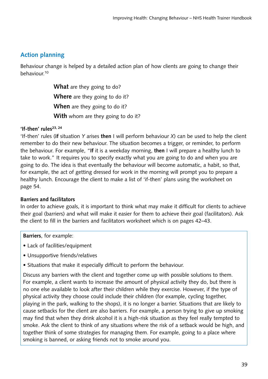# **Action planning**

Behaviour change is helped by a detailed action plan of how clients are going to change their behaviour.10

> **What** are they going to do? **Where** are they going to do it? **When** are they going to do it? **With** whom are they going to do it?

# 'If-then' rules<sup>23, 24</sup>

'If-then' rules (**if** situation *Y* arises **then** I will perform behaviour *X*) can be used to help the client remember to do their new behaviour. The situation becomes a trigger, or reminder, to perform the behaviour. For example, "**If** it is a weekday morning, **then** I will prepare a healthy lunch to take to work." It requires you to specify exactly what you are going to do and when you are going to do. The idea is that eventually the behaviour will become automatic, a habit, so that, for example, the act of getting dressed for work in the morning will prompt you to prepare a healthy lunch. Encourage the client to make a list of 'if-then' plans using the worksheet on page 54.

# **Barriers and facilitators**

In order to achieve goals, it is important to think what may make it difficult for clients to achieve their goal (barriers) and what will make it easier for them to achieve their goal (facilitators). Ask the client to fill in the barriers and facilitators worksheet which is on pages 42–43.

#### **Barriers**, for example:

- Lack of facilities/equipment
- Unsupportive friends/relatives
- Situations that make it especially difficult to perform the behaviour.

Discuss any barriers with the client and together come up with possible solutions to them. For example, a client wants to increase the amount of physical activity they do, but there is no one else available to look after their children while they exercise. However, if the type of physical activity they choose could include their children (for example, cycling together, playing in the park, walking to the shops), it is no longer a barrier. Situations that are likely to cause setbacks for the client are also barriers. For example, a person trying to give up smoking may find that when they drink alcohol it is a high-risk situation as they feel really tempted to smoke. Ask the client to think of any situations where the risk of a setback would be high, and together think of some strategies for managing them. For example, going to a place where smoking is banned, or asking friends not to smoke around you.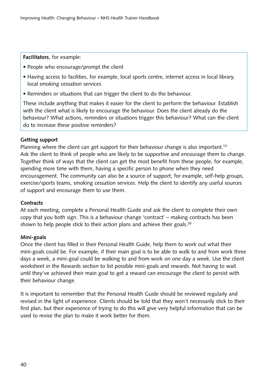**Facilitators**, for example:

- People who encourage/prompt the client
- Having access to facilities, for example, local sports centre, internet access in local library, local smoking cessation services
- Reminders or situations that can trigger the client to do the behaviour.

These include anything that makes it easier for the client to perform the behaviour. Establish with the client what is likely to encourage the behaviour. Does the client already do the behaviour? What actions, reminders or situations trigger this behaviour? What can the client do to increase these positive reminders?

# **Getting support**

Planning where the client can get support for their behaviour change is also important.<sup>13</sup> Ask the client to think of people who are likely to be supportive and encourage them to change. Together think of ways that the client can get the most benefit from these people, for example, spending more time with them, having a specific person to phone when they need encouragement. The community can also be a source of support, for example, self-help groups, exercise/sports teams, smoking cessation services. Help the client to identify any useful sources of support and encourage them to use them.

# **Contracts**

At each meeting, complete a Personal Health Guide and ask the client to complete their own copy that you both sign. This is a behaviour change 'contract' – making contracts has been shown to help people stick to their action plans and achieve their goals.<sup>26</sup>

# **Mini-goals**

Once the client has filled in their Personal Health Guide, help them to work out what their mini-goals could be. For example, if their main goal is to be able to walk to and from work three days a week, a mini-goal could be walking to and from work on one day a week. Use the client worksheet in the Rewards section to list possible mini-goals and rewards. Not having to wait until they've achieved their main goal to get a reward can encourage the client to persist with their behaviour change.

It is important to remember that the Personal Health Guide should be reviewed regularly and revised in the light of experience. Clients should be told that they won't necessarily stick to their first plan, but their experience of trying to do this will give very helpful information that can be used to revise the plan to make it work better for them.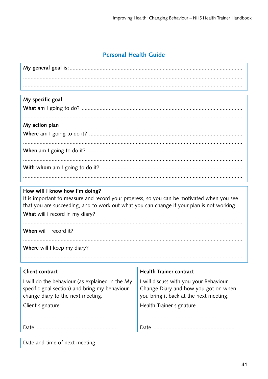# **Personal Health Guide**

|  | My specific goal |  |
|--|------------------|--|
|--|------------------|--|

| My action plan |
|----------------|
|                |
|                |

# How will I know how I'm doing?

It is important to measure and record your progress, so you can be motivated when you see that you are succeeding, and to work out what you can change if your plan is not working.

What will I record in my diary?

When will I record it?

Where will I keep my diary?

I will do the behaviour (as explained in the My specific goal section) and bring my behaviour change diary to the next meeting.

Client signature

# **Health Trainer contract**

I will discuss with you your Behaviour Change Diary and how you got on when you bring it back at the next meeting.

Health Trainer signature

Date and time of next meeting: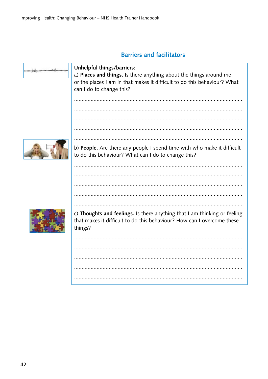# **Barriers and facilitators**

| Unhelpful things/barriers:<br>a) Places and things. Is there anything about the things around me<br>or the places I am in that makes it difficult to do this behaviour? What<br>can I do to change this? |
|----------------------------------------------------------------------------------------------------------------------------------------------------------------------------------------------------------|
|                                                                                                                                                                                                          |
|                                                                                                                                                                                                          |
| b) People. Are there any people I spend time with who make it difficult<br>to do this behaviour? What can I do to change this?                                                                           |
|                                                                                                                                                                                                          |
| c) Thoughts and feelings. Is there anything that I am thinking or feeling                                                                                                                                |
| that makes it difficult to do this behaviour? How can I overcome these<br>things?                                                                                                                        |
|                                                                                                                                                                                                          |
|                                                                                                                                                                                                          |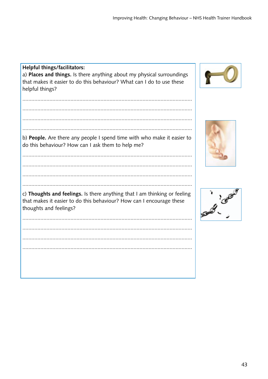Helpful things/facilitators: a) Places and things. Is there anything about my physical surroundings that makes it easier to do this behaviour? What can I do to use these helpful things?  $\ddotsc$ b) People. Are there any people I spend time with who make it easier to do this behaviour? How can I ask them to help me? c) Thoughts and feelings. Is there anything that I am thinking or feeling that makes it easier to do this behaviour? How can I encourage these thoughts and feelings? 





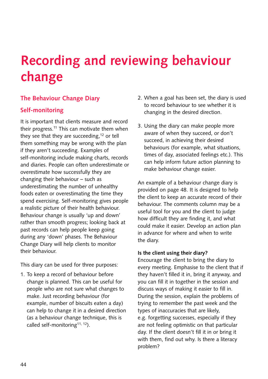# **Recording and reviewing behaviour change**

# **The Behaviour Change Diary**

# **Self-monitoring**

It is important that clients measure and record their progress.<sup>11</sup> This can motivate them when they see that they are succeeding, $12$  or tell them something may be wrong with the plan if they aren't succeeding. Examples of self-monitoring include making charts, records and diaries. People can often underestimate or overestimate how successfully they are changing their behaviour – such as underestimating the number of unhealthy foods eaten or overestimating the time they spend exercising. Self-monitoring gives people a realistic picture of their health behaviour. Behaviour change is usually 'up and down' rather than smooth progress; looking back at past records can help people keep going during any 'down' phases. The Behaviour Change Diary will help clients to monitor their behaviour.

This diary can be used for three purposes:

1. To keep a record of behaviour before change is planned. This can be useful for people who are not sure what changes to make. Just recording behaviour (for example, number of biscuits eaten a day) can help to change it in a desired direction (as a behaviour change technique, this is called self-monitoring<sup>11, 12</sup>).

- 2. When a goal has been set, the diary is used to record behaviour to see whether it is changing in the desired direction.
- 3. Using the diary can make people more aware of when they succeed, or don't succeed, in achieving their desired behaviours (for example, what situations, times of day, associated feelings etc.). This can help inform future action planning to make behaviour change easier.

An example of a behaviour change diary is provided on page 48. It is designed to help the client to keep an accurate record of their behaviour. The comments column may be a useful tool for you and the client to judge how difficult they are finding it, and what could make it easier. Develop an action plan in advance for where and when to write the diary.

# **Is the client using their diary?**

Encourage the client to bring the diary to every meeting. Emphasise to the client that if they haven't filled it in, bring it anyway, and you can fill it in together in the session and discuss ways of making it easier to fill in. During the session, explain the problems of trying to remember the past week and the types of inaccuracies that are likely, e.g. forgetting successes, especially if they are not feeling optimistic on that particular day. If the client doesn't fill it in or bring it with them, find out why. Is there a literacy problem?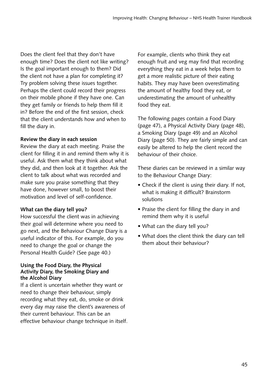Does the client feel that they don't have enough time? Does the client not like writing? Is the goal important enough to them? Did the client not have a plan for completing it? Try problem solving these issues together. Perhaps the client could record their progress on their mobile phone if they have one. Can they get family or friends to help them fill it in? Before the end of the first session, check that the client understands how and when to fill the diary in.

# **Review the diary in each session**

Review the diary at each meeting. Praise the client for filling it in and remind them why it is useful. Ask them what they think about what they did, and then look at it together. Ask the client to talk about what was recorded and make sure you praise something that they have done, however small, to boost their motivation and level of self-confidence.

# **What can the diary tell you?**

How successful the client was in achieving their goal will determine where you need to go next, and the Behaviour Change Diary is a useful indicator of this. For example, do you need to change the goal or change the Personal Health Guide? (See page 40.)

#### **Using the Food Diary, the Physical Activity Diary, the Smoking Diary and the Alcohol Diary**

If a client is uncertain whether they want or need to change their behaviour, simply recording what they eat, do, smoke or drink every day may raise the client's awareness of their current behaviour. This can be an effective behaviour change technique in itself. For example, clients who think they eat enough fruit and veg may find that recording everything they eat in a week helps them to get a more realistic picture of their eating habits. They may have been overestimating the amount of healthy food they eat, or underestimating the amount of unhealthy food they eat.

The following pages contain a Food Diary (page 47), a Physical Activity Diary (page 48), a Smoking Diary (page 49) and an Alcohol Diary (page 50). They are fairly simple and can easily be altered to help the client record the behaviour of their choice.

These diaries can be reviewed in a similar way to the Behaviour Change Diary:

- Check if the client is using their diary. If not, what is making it difficult? Brainstorm solutions
- Praise the client for filling the diary in and remind them why it is useful
- What can the diary tell you?
- What does the client think the diary can tell them about their behaviour?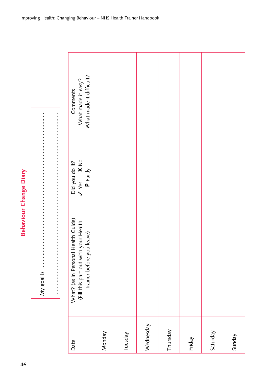**Behaviour Change Diary** 46**Behaviour Change Diary**

My goal is was an and an annual communication of the set of the set of the set of the set of the set of the set of the set of the set of the set of the set of the set of the set of the set of the set of the set of the set ,我们的人们就是一个人的人们,我们的人们就是一个人的人们,我们的人们就是一个人的人,我们的人们就是一个人的人,我们的人们就是一个人的人,我们的人们就是一个人的人, My goal is ......................................................................................................... ...........................................................................................................................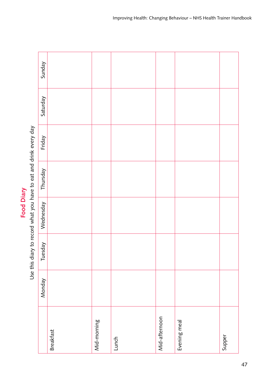| l<br>ľ      |  |
|-------------|--|
| I<br>C<br>C |  |
|             |  |
|             |  |

Use this diary to record what you have to eat and drink every day Use this diary to record what you have to eat and drink every day

| Sunday    |                  |             |       |               |              |        |
|-----------|------------------|-------------|-------|---------------|--------------|--------|
| Saturday  |                  |             |       |               |              |        |
| Friday    |                  |             |       |               |              |        |
| Thursday  |                  |             |       |               |              |        |
| Wednesday |                  |             |       |               |              |        |
| Tuesday   |                  |             |       |               |              |        |
| Monday    |                  |             |       |               |              |        |
|           | <b>Breakfast</b> | Mid-morning | Lunch | Mid-afternoon | Evening meal | Supper |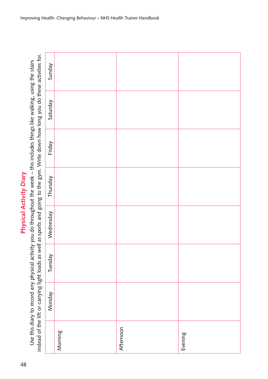Physical Activity Diary 48**Physical Activity Diary**

Use this diary to record any physical activity you do throughout the week - this includes things like walking, using the stairs Use this diary to record any physical activity you do throughout the week – this includes things like walking, using the stairs

|                                                                                                                                      | Sunday    |         |           |         |
|--------------------------------------------------------------------------------------------------------------------------------------|-----------|---------|-----------|---------|
| instead of the lift or carrying light loads as well as sports and going to the gym. Write down how long you do these activities for. | Saturday  |         |           |         |
|                                                                                                                                      | Friday    |         |           |         |
|                                                                                                                                      | Thursday  |         |           |         |
|                                                                                                                                      | Wednesday |         |           |         |
|                                                                                                                                      | Tuesday   |         |           |         |
|                                                                                                                                      | Monday    |         |           |         |
|                                                                                                                                      |           | Morning | Afternoon | Evening |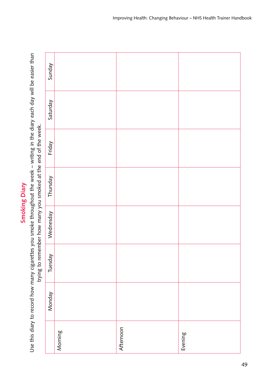| ٦<br>г |
|--------|
|        |
|        |
|        |
|        |
|        |
|        |

Use this diary to record how many cigarettes you smoke throughout the week – writing in the diary each day will be easier than<br>traing to man the man the comment of the second state and of the week Use this diary to record how many cigarettes you smoke throughout the week – writing in the diary each day will be easier than

| trying to remember how many you smoked at the end of the week. | Sunday    |         |           |         |
|----------------------------------------------------------------|-----------|---------|-----------|---------|
|                                                                | Saturday  |         |           |         |
|                                                                | Friday    |         |           |         |
|                                                                | Thursday  |         |           |         |
|                                                                | Wednesday |         |           |         |
|                                                                | Tuesday   |         |           |         |
|                                                                | Monday    |         |           |         |
|                                                                |           | Morning | Afternoon | Evening |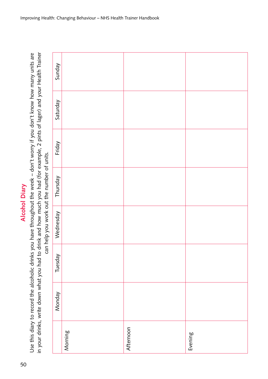in your drinks, write down what you had to drink and how much you had (for example, 2 pints of lager) and your Health Trainer in your drinks, write down what you had to drink and how much you had (for example, 2 pints of lager) and your Health Trainer Use this diary to record the alcoholic drinks you have throughout the week - don't worry if you don't know how many units are Use this diary to record the alcoholic drinks you have throughout the week – don't worry if you don't know how many units are can help you work out the number of units

| can help you work out the number of units. | Sunday    |         |           |         |
|--------------------------------------------|-----------|---------|-----------|---------|
|                                            | Saturday  |         |           |         |
|                                            | Friday    |         |           |         |
|                                            | Thursday  |         |           |         |
|                                            | Wednesday |         |           |         |
|                                            | Tuesday   |         |           |         |
|                                            | Monday    |         |           |         |
|                                            |           | Morning | Afternoon | Evening |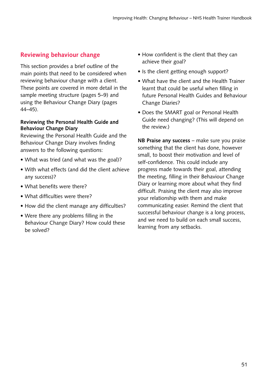# **Reviewing behaviour change**

This section provides a brief outline of the main points that need to be considered when reviewing behaviour change with a client. These points are covered in more detail in the sample meeting structure (pages 5–9) and using the Behaviour Change Diary (pages 44–45).

#### **Reviewing the Personal Health Guide and Behaviour Change Diary**

Reviewing the Personal Health Guide and the Behaviour Change Diary involves finding answers to the following questions:

- What was tried (and what was the goal)?
- With what effects (and did the client achieve any success)?
- What benefits were there?
- What difficulties were there?
- How did the client manage any difficulties?
- Were there any problems filling in the Behaviour Change Diary? How could these be solved?
- How confident is the client that they can achieve their goal?
- Is the client getting enough support?
- What have the client and the Health Trainer learnt that could be useful when filling in future Personal Health Guides and Behaviour Change Diaries?
- Does the SMART goal or Personal Health Guide need changing? (This will depend on the review.)

**NB Praise any success** – make sure you praise something that the client has done, however small, to boost their motivation and level of self-confidence. This could include any progress made towards their goal, attending the meeting, filling in their Behaviour Change Diary or learning more about what they find difficult. Praising the client may also improve your relationship with them and make communicating easier. Remind the client that successful behaviour change is a long process, and we need to build on each small success, learning from any setbacks.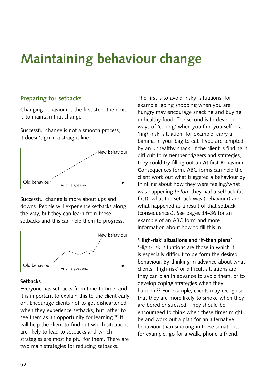# **Maintaining behaviour change**

# **Preparing for setbacks**

Changing behaviour is the first step; the next is to maintain that change.

Successful change is not a smooth process, it doesn't go in a straight line.



Successful change is more about ups and downs. People will experience setbacks along the way, but they can learn from these setbacks and this can help them to progress.



#### **Setbacks**

Everyone has setbacks from time to time, and it is important to explain this to the client early on. Encourage clients not to get disheartened when they experience setbacks, but rather to see them as an opportunity for learning.<sup>20</sup> It will help the client to find out which situations are likely to lead to setbacks and which strategies are most helpful for them. There are two main strategies for reducing setbacks.

The first is to avoid 'risky' situations, for example, going shopping when you are hungry may encourage snacking and buying unhealthy food. The second is to develop ways of 'coping' when you find yourself in a 'high-risk' situation, for example, carry a banana in your bag to eat if you are tempted by an unhealthy snack. If the client is finding it difficult to remember triggers and strategies, they could try filling out an **A**t first **B**ehaviour **C**onsequences form. ABC forms can help the client work out what triggered a behaviour by thinking about how they were feeling/what was happening *before* they had a setback (at first), what the setback was (behaviour) and what happened as a result of that setback (consequences). See pages 34–36 for an example of an ABC form and more information about how to fill this in.

#### **'High-risk' situations and 'if-then plans'**

'High-risk' situations are those in which it is especially difficult to perform the desired behaviour. By thinking in advance about what clients' 'high-risk' or difficult situations are, they can plan in advance to avoid them, or to develop coping strategies when they happen.22 For example, clients may recognise that they are more likely to smoke when they are bored or stressed. They should be encouraged to think when these times might be and work out a plan for an alternative behaviour than smoking in these situations, for example, go for a walk, phone a friend.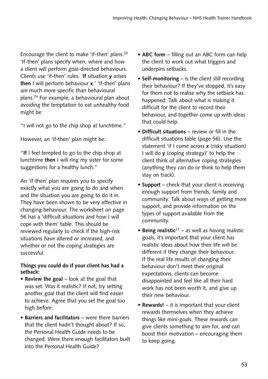Encourage the client to make 'if-then' plans.23 'If-then' plans specify when, where and how a client will perform goal-directed behaviours. Clients use 'if-then' rules. '**If** situation **y** arises **then** I will perform behaviour **x**.' 'If-then' plans are much more specific than behavioural plans.24 For example, a behavioural plan about avoiding the temptation to eat unhealthy food might be:

"I will not go to the chip shop at lunchtime."

However, an 'if-then' plan might be:

"**If** I feel tempted to go to the chip shop at lunchtime **then** I will ring my sister for some suggestions for a healthy lunch."

An 'if-then' plan requires you to specify exactly what you are going to do and when and the situation you are going to do it in. They have been shown to be very effective in changing behaviour. The worksheet on page 56 has a 'difficult situations and how I will cope with them' table. This should be reviewed regularly to check if the high-risk situations have altered or increased, and whether or not the coping strategies are successful.

# **Things you could do if your client has had a setback:**

- **Review the goal** look at the goal that was set. Was it realistic? If not, try setting another goal that the client will find easier to achieve. Agree that you set the goal too high before.
- **Barriers and facilitators** were there barriers that the client hadn't thought about? If so, the Personal Health Guide needs to be changed. Were there enough facilitators built into the Personal Health Guide?
- **ABC form** filling out an ABC form can help the client to work out what triggers and underpins setbacks.
- **Self-monitoring** is the client still recording their behaviour? If they've stopped, it's easy for them not to realise why the setback has happened. Talk about what is making it difficult for the client to record their behaviour, and together come up with ideas that could help.
- **Difficult situations** review or fill in the difficult situations table (page 56). Use the statement 'if I come across **x** (risky situation) I will do **y** (coping strategy)' to help the client think of alternative coping strategies (anything they can do or think to help them stay on track).
- **Support** check that your client is receiving enough support from friends, family and community. Talk about ways of getting more support, and provide information on the types of support available from the community.
- **Being realistic**21 as well as having realistic goals, it's important that your client has realistic ideas about how their life will be different if they change their behaviour. If the real life results of changing their behaviour don't meet their original expectations, clients can become disappointed and feel like all their hard work has not been worth it, and give up their new behaviour.
- **Rewards!** it is important that your client rewards themselves when they achieve things like mini-goals. These rewards can give clients something to aim for, and can boost their motivation – encouraging them to keep going.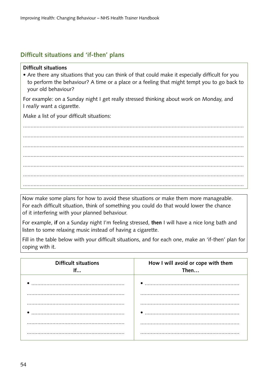# **Difficult situations and 'if-then' plans**

#### **Difficult situations**

• Are there any situations that you can think of that could make it especially difficult for you to perform the behaviour? A time or a place or a feeling that might tempt you to go back to your old behaviour?

For example: on a Sunday night I get really stressed thinking about work on Monday, and I *really* want a cigarette.

Make a list of your difficult situations:

................................................................................................................................................... ................................................................................................................................................... ................................................................................................................................................... ................................................................................................................................................... ................................................................................................................................................... ................................................................................................................................................... ...................................................................................................................................................

Now make some plans for how to avoid these situations or make them more manageable. For each difficult situation, think of something you could do that would lower the chance of it interfering with your planned behaviour.

For example, **if** on a Sunday night I'm feeling stressed, **then** I will have a nice long bath and listen to some relaxing music instead of having a cigarette.

Fill in the table below with your difficult situations, and for each one, make an 'if-then' plan for coping with it.

| <b>Difficult situations</b><br>If | How I will avoid or cope with them<br>Then |
|-----------------------------------|--------------------------------------------|
|                                   |                                            |
|                                   |                                            |
|                                   |                                            |
|                                   |                                            |
|                                   |                                            |
|                                   |                                            |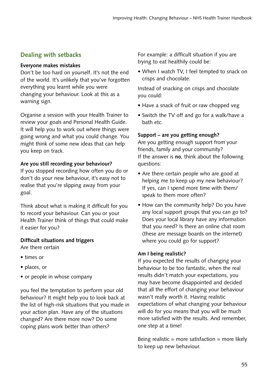# **Dealing with setbacks**

# **Everyone makes mistakes**

Don't be too hard on yourself. It's not the end of the world. It's unlikely that you've forgotten everything you learnt while you were changing your behaviour. Look at this as a warning sign.

Organise a session with your Health Trainer to review your goals and Personal Health Guide. It will help you to work out where things were going wrong and what you could change. You might think of some new ideas that can help you keep on track.

# **Are you still recording your behaviour?**

If you stopped recording how often you do or don't do your new behaviour, it's easy not to realise that you're slipping away from your goal.

Think about what is making it difficult for you to record your behaviour. Can you or your Health Trainer think of things that could make it easier for you?

# **Difficult situations and triggers**

Are there certain

- times or
- places, or
- or people in whose company

you feel the temptation to perform your old behaviour? It might help you to look back at the list of high-risk situations that you made in your action plan. Have any of the situations changed? Are there more now? Do some coping plans work better than others?

For example: a difficult situation if you are trying to eat healthily could be:

• When I watch TV, I feel tempted to snack on crisps and chocolate.

Instead of snacking on crisps and chocolate you could:

- Have a snack of fruit or raw chopped veg
- Switch the TV off and go for a walk/have a bath etc.

# **Support – are you getting enough?**

Are you getting enough support from your friends, family and your community? If the answer is **no**, think about the following questions:

- Are there certain people who are good at helping me to keep up my new behaviour? If yes, can I spend more time with them/ speak to them more often?
- How can the community help? Do you have any local support groups that you can go to? Does your local library have any information that you need? Is there an online chat room (these are message boards on the internet) where you could go for support?

# **Am I being realistic?**

If you expected the results of changing your behaviour to be too fantastic, when the real results didn't match your expectations, you may have become disappointed and decided that all the effort of changing your behaviour wasn't really worth it. Having realistic expectations of what changing your behaviour will do for you means that you will be much more satisfied with the results. And remember, one step at a time!

Being realistic = more satisfaction = more likely to keep up new behaviour.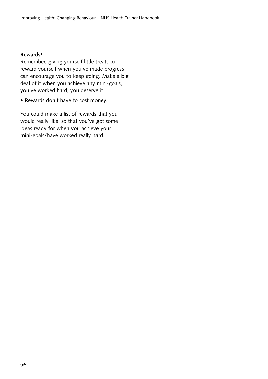#### **Rewards!**

Remember, giving yourself little treats to reward yourself when you've made progress can encourage you to keep going. Make a big deal of it when you achieve any mini-goals, you've worked hard, you deserve it!

• Rewards don't have to cost money.

You could make a list of rewards that you would really like, so that you've got some ideas ready for when you achieve your mini-goals/have worked really hard.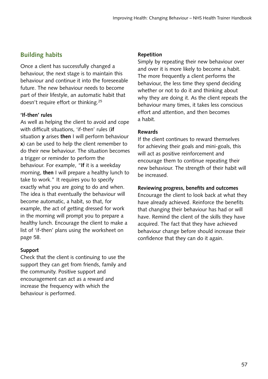# **Building habits**

Once a client has successfully changed a behaviour, the next stage is to maintain this behaviour and continue it into the foreseeable future. The new behaviour needs to become part of their lifestyle, an automatic habit that doesn't require effort or thinking.25

# **'If-then' rules**

As well as helping the client to avoid and cope with difficult situations, 'if-then' rules (**if** situation **y** arises **then** I will perform behaviour **x**) can be used to help the client remember to do their new behaviour. The situation becomes a trigger or reminder to perform the behaviour. For example, "**If** it is a weekday morning, **then** I will prepare a healthy lunch to take to work." It requires you to specify exactly what you are going to do and when. The idea is that eventually the behaviour will become automatic, a habit, so that, for example, the act of getting dressed for work in the morning will prompt you to prepare a healthy lunch. Encourage the client to make a list of 'if-then' plans using the worksheet on page 58.

# **Support**

Check that the client is continuing to use the support they can get from friends, family and the community. Positive support and encouragement can act as a reward and increase the frequency with which the behaviour is performed.

#### **Repetition**

Simply by repeating their new behaviour over and over it is more likely to become a habit. The more frequently a client performs the behaviour, the less time they spend deciding whether or not to do it and thinking about why they are doing it. As the client repeats the behaviour many times, it takes less conscious effort and attention, and then becomes a habit.

# **Rewards**

If the client continues to reward themselves for achieving their goals and mini-goals, this will act as positive reinforcement and encourage them to continue repeating their new behaviour. The strength of their habit will be increased.

# **Reviewing progress, benefits and outcomes**

Encourage the client to look back at what they have already achieved. Reinforce the benefits that changing their behaviour has had or will have. Remind the client of the skills they have acquired. The fact that they have achieved behaviour change before should increase their confidence that they can do it again.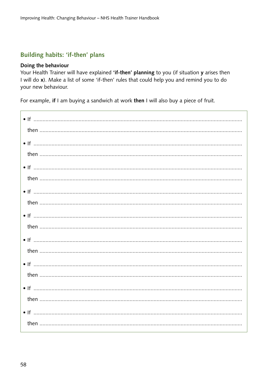# Building habits: 'if-then' plans

#### Doing the behaviour

Your Health Trainer will have explained 'if-then' planning to you (if situation y arises then I will do x). Make a list of some 'if-then' rules that could help you and remind you to do your new behaviour.

For example, if I am buying a sandwich at work then I will also buy a piece of fruit.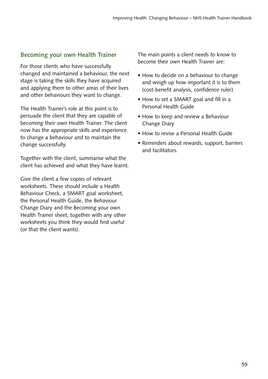# **Becoming your own Health Trainer**

For those clients who have successfully changed and maintained a behaviour, the next stage is taking the skills they have acquired and applying them to other areas of their lives and other behaviours they want to change.

The Health Trainer's role at this point is to persuade the client that they are capable of becoming their own Health Trainer. The client now has the appropriate skills and experience to change a behaviour and to maintain the change successfully.

Together with the client, summarise what the client has achieved and what they have learnt.

Give the client a few copies of relevant worksheets. These should include a Health Behaviour Check, a SMART goal worksheet, the Personal Health Guide, the Behaviour Change Diary and the Becoming your own Health Trainer sheet, together with any other worksheets you think they would find useful (or that the client wants).

The main points a client needs to know to become their own Health Trainer are:

- How to decide on a behaviour to change and weigh up how important it is to them (cost-benefit analysis, confidence ruler)
- How to set a SMART goal and fill in a Personal Health Guide
- How to keep and review a Behaviour Change Diary
- How to revise a Personal Health Guide
- Reminders about rewards, support, barriers and facilitators.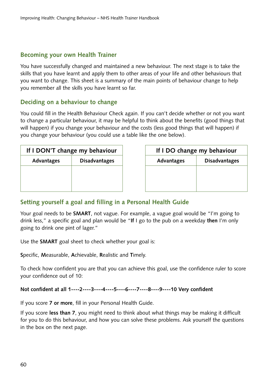# **Becoming your own Health Trainer**

You have successfully changed and maintained a new behaviour. The next stage is to take the skills that you have learnt and apply them to other areas of your life and other behaviours that you want to change. This sheet is a summary of the main points of behaviour change to help you remember all the skills you have learnt so far.

# **Deciding on a behaviour to change**

You could fill in the Health Behaviour Check again. If you can't decide whether or not you want to change a particular behaviour, it may be helpful to think about the benefits (good things that will happen) if you change your behaviour and the costs (less good things that will happen) if you change your behaviour (you could use a table like the one below).

| If I DON'T change my behaviour |                      |            | If I DO change my behaviour |
|--------------------------------|----------------------|------------|-----------------------------|
| Advantages                     | <b>Disadvantages</b> | Advantages | Disadvantage                |
|                                |                      |            |                             |
|                                |                      |            |                             |
|                                |                      |            |                             |

| I DON'T change my behaviour        |  | If I DO change my behaviour |                      |  |
|------------------------------------|--|-----------------------------|----------------------|--|
| <b>Disadvantages</b><br>Advantages |  | Advantages                  | <b>Disadvantages</b> |  |
|                                    |  |                             |                      |  |
|                                    |  |                             |                      |  |
|                                    |  |                             |                      |  |

# **Setting yourself a goal and filling in a Personal Health Guide**

Your goal needs to be **SMART**, not vague. For example, a vague goal would be "I'm going to drink less," a specific goal and plan would be "**If** I go to the pub on a weekday **then** I'm only going to drink one pint of lager."

Use the **SMART** goal sheet to check whether your goal is:

**S**pecific, **M**easurable, **A**chievable, **R**ealistic and **T**imely.

To check how confident you are that you can achieve this goal, use the confidence ruler to score your confidence out of 10:

**Not confident at all 1----2----3----4----5----6----7----8----9----10 Very confident**

If you score **7 or more**, fill in your Personal Health Guide.

If you score **less than 7**, you might need to think about what things may be making it difficult for you to do this behaviour, and how you can solve these problems. Ask yourself the questions in the box on the next page.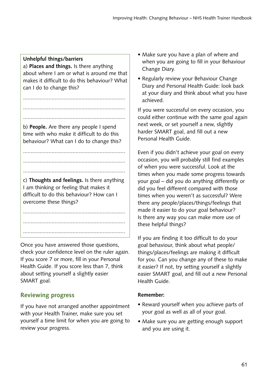# **Unhelpful things/barriers**

a) **Places and things.** Is there anything about where I am or what is around me that makes it difficult to do this behaviour? What can I do to change this?

....................................................................

....................................................................

.................................................................... b) **People.** Are there any people I spend time with who make it difficult to do this behaviour? What can I do to change this?

....................................................................

....................................................................

....................................................................

c) **Thoughts and feelings.** Is there anything I am thinking or feeling that makes it difficult to do this behaviour? How can I overcome these things?

.................................................................... ....................................................................

....................................................................

Once you have answered those questions, check your confidence level on the ruler again. If you score 7 or more, fill in your Personal Health Guide. If you score less than 7, think about setting yourself a slightly easier SMART goal.

# **Reviewing progress**

If you have not arranged another appointment with your Health Trainer, make sure you set yourself a time limit for when you are going to review your progress.

- Make sure you have a plan of where and when you are going to fill in your Behaviour Change Diary.
- Regularly review your Behaviour Change Diary and Personal Health Guide: look back at your diary and think about what you have achieved.

If you were successful on every occasion, you could either continue with the same goal again next week, or set yourself a new, slightly harder SMART goal, and fill out a new Personal Health Guide.

Even if you didn't achieve your goal on every occasion, you will probably still find examples of when you were successful. Look at the times when you made some progress towards your goal – did you do anything differently or did you feel different compared with those times when you weren't as successful? Were there any people/places/things/feelings that made it easier to do your goal behaviour? Is there any way you can make more use of these helpful things?

If you are finding it too difficult to do your goal behaviour, think about what people/ things/places/feelings are making it difficult for you. Can you change any of these to make it easier? If not, try setting yourself a slightly easier SMART goal, and fill out a new Personal Health Guide.

# **Remember:**

- Reward yourself when you achieve parts of your goal as well as all of your goal.
- Make sure you are getting enough support and you are using it.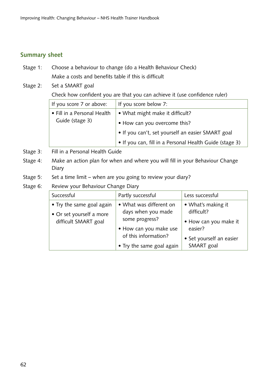# **Summary sheet**

- Stage 1: Choose a behaviour to change (do a Health Behaviour Check) Make a costs and benefits table if this is difficult
- Stage 2: Set a SMART goal

Check how confident you are that you can achieve it (use confidence ruler)

| If you score 7 or above:    | If you score below 7:                                   |
|-----------------------------|---------------------------------------------------------|
| • Fill in a Personal Health | • What might make it difficult?                         |
| Guide (stage 3)             | • How can you overcome this?                            |
|                             | • If you can't, set yourself an easier SMART goal       |
|                             | • If you can, fill in a Personal Health Guide (stage 3) |

- Stage 3: Fill in a Personal Health Guide
- Stage 4: Make an action plan for when and where you will fill in your Behaviour Change Diary
- Stage 5: Set a time limit when are you going to review your diary?

# Stage 6: Review your Behaviour Change Diary

| Successful                                                                    | Partly successful                                                                                                                              | Less successful                                                                                                |
|-------------------------------------------------------------------------------|------------------------------------------------------------------------------------------------------------------------------------------------|----------------------------------------------------------------------------------------------------------------|
| • Try the same goal again<br>• Or set yourself a more<br>difficult SMART goal | • What was different on<br>days when you made<br>some progress?<br>• How can you make use<br>of this information?<br>• Try the same goal again | • What's making it<br>difficult?<br>• How can you make it<br>easier?<br>• Set yourself an easier<br>SMART goal |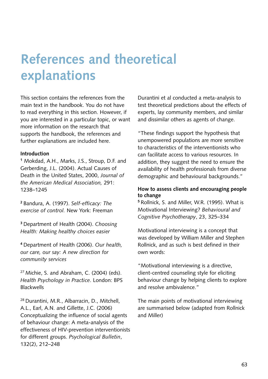# **References and theoretical explanations**

This section contains the references from the main text in the handbook. You do not have to read everything in this section. However, if you are interested in a particular topic, or want more information on the research that supports the handbook, the references and further explanations are included here.

#### **Introduction**

**<sup>1</sup>** Mokdad, A.H., Marks, J.S., Stroup, D.F. and Gerberding, J.L. (2004). Actual Causes of Death in the United States, 2000, *Journal of the American Medical Association,* 291: 1238–1245

**<sup>2</sup>**Bandura, A. (1997). *Self-efficacy: The exercise of control.* New York: Freeman

**<sup>3</sup>**Department of Health (2004). *Choosing Health: Making healthy choices easier*

**<sup>4</sup>**Department of Health (2006). *Our health, our care, our say: A new direction for community services*

 $27$  Michie, S. and Abraham, C. (2004) (eds). *Health Psychology in Practice*. London: BPS Blackwells

28 Durantini, M.R., Albarracin, D., Mitchell, A.L., Earl, A.N. and Gillette, J.C. (2006) Conceptualizing the influence of social agents of behaviour change: A meta-analysis of the effectiveness of HIV-prevention interventionists for different groups. *Psychological Bulletin*, 132(2), 212–248

Durantini et al conducted a meta-analysis to test theoretical predictions about the effects of experts, lay community members, and similar and dissimilar others as agents of change.

"These findings support the hypothesis that unempowered populations are more sensitive to characteristics of the interventionists who can facilitate access to various resources. In addition, they suggest the need to ensure the availability of health professionals from diverse demographic and behavioural backgrounds."

#### **How to assess clients and encouraging people to change**

**<sup>5</sup>**Rollnick, S. and Miller, W.R. (1995). What is Motivational Interviewing? *Behavioural and Cognitive Psychotherapy*, 23, 325–334

Motivational interviewing is a concept that was developed by William Miller and Stephen Rollnick, and as such is best defined in their own words:

"Motivational interviewing is a directive, client-centred counseling style for eliciting behaviour change by helping clients to explore and resolve ambivalence."

The main points of motivational interviewing are summarised below (adapted from Rollnick and Miller)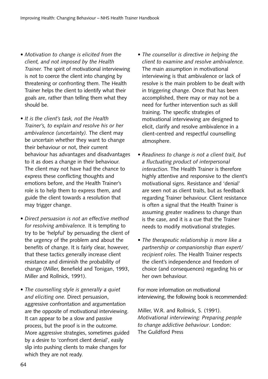- *Motivation to change is elicited from the client, and not imposed by the Health Trainer.* The spirit of motivational interviewing is not to coerce the client into changing by threatening or confronting them. The Health Trainer helps the client to identify what their goals are, rather than telling them what they should be.
- *It is the client's task, not the Health Trainer's, to explain and resolve his or her ambivalence (uncertainty).* The client may be uncertain whether they want to change their behaviour or not, their current behaviour has advantages and disadvantages to it as does a change in their behaviour. The client may not have had the chance to express these conflicting thoughts and emotions before, and the Health Trainer's role is to help them to express them, and guide the client towards a resolution that may trigger change.
- *Direct persuasion is not an effective method for resolving ambivalence.* It is tempting to try to be 'helpful' by persuading the client of the urgency of the problem and about the benefits of change. It is fairly clear, however, that these tactics generally increase client resistance and diminish the probability of change (Miller, Benefield and Tonigan, 1993, Miller and Rollnick, 1991).
- *The counselling style is generally a quiet and eliciting one.* Direct persuasion, aggressive confrontation and argumentation are the opposite of motivational interviewing. It can appear to be a slow and passive process, but the proof is in the outcome. More aggressive strategies, sometimes guided by a desire to 'confront client denial', easily slip into pushing clients to make changes for which they are not ready.
- *The counsellor is directive in helping the client to examine and resolve ambivalence.* The main assumption in motivational interviewing is that ambivalence or lack of resolve is the main problem to be dealt with in triggering change. Once that has been accomplished, there may or may not be a need for further intervention such as skill training. The specific strategies of motivational interviewing are designed to elicit, clarify and resolve ambivalence in a client-centred and respectful counselling atmosphere.
- *Readiness to change is not a client trait, but a fluctuating product of interpersonal interaction.* The Health Trainer is therefore highly attentive and responsive to the client's motivational signs. Resistance and 'denial' are seen not as client traits, but as feedback regarding Trainer behaviour. Client resistance is often a signal that the Health Trainer is assuming greater readiness to change than is the case, and it is a cue that the Trainer needs to modify motivational strategies.
- *The therapeutic relationship is more like a partnership or companionship than expert/ recipient roles.* The Health Trainer respects the client's independence and freedom of choice (and consequences) regarding his or her own behaviour.

For more information on motivational interviewing, the following book is recommended:

Miller, W.R. and Rollnick, S. (1991). *Motivational interviewing: Preparing people to change addictive behaviour*. London: The Guildford Press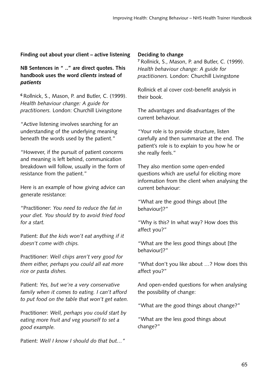**Finding out about your client – active listening**

**NB Sentences in " .." are direct quotes. This handbook uses the word** *clients* **instead of**  *patients*

**<sup>6</sup>**Rollnick, S., Mason, P. and Butler, C. (1999). *Health behaviour change: A guide for practitioners.* London: Churchill Livingstone

"Active listening involves searching for an understanding of the underlying meaning beneath the words used by the patient."

"However, if the pursuit of patient concerns and meaning is left behind, communication breakdown will follow, usually in the form of resistance from the patient."

Here is an example of how giving advice can generate resistance:

"Practitioner: *You need to reduce the fat in your diet. You should try to avoid fried food for a start.*

Patient: *But the kids won't eat anything if it doesn't come with chips.*

Practitioner: *Well chips aren't very good for them either, perhaps you could all eat more rice or pasta dishes.*

Patient: *Yes, but we're a very conservative family when it comes to eating. I can't afford to put food on the table that won't get eaten.*

Practitioner: *Well, perhaps you could start by eating more fruit and veg yourself to set a good example.*

Patient: *Well I know I should do that but…"*

# **Deciding to change**

**<sup>7</sup>**Rollnick, S., Mason, P. and Butler, C. (1999). *Health behaviour change: A guide for practitioners.* London: Churchill Livingstone

Rollnick et al cover cost-benefit analysis in their book.

The advantages and disadvantages of the current behaviour.

"Your role is to provide structure, listen carefully and then summarize at the end. The patient's role is to explain to you how he or she really feels."

They also mention some open-ended questions which are useful for eliciting more information from the client when analysing the current behaviour:

"What are the good things about [the behaviour]?"

"Why is this? In what way? How does this affect you?"

"What are the less good things about [the behaviour]?"

"What don't you like about …? How does this affect you?"

And open-ended questions for when analysing the possibility of change:

"What are the good things about change?"

"What are the less good things about change?"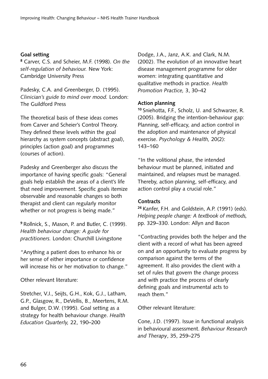#### **Goal setting**

**<sup>8</sup>** Carver, C.S. and Scheier, M.F. (1998). *On the self-regulation of behaviour.* New York: Cambridge University Press

Padesky, C.A. and Greenberger, D. (1995). *Clinician's guide to mind over mood.* London: The Guildford Press

The theoretical basis of these ideas comes from Carver and Scheier's Control Theory. They defined these levels within the goal hierarchy as system concepts (abstract goal), principles (action goal) and programmes (courses of action).

Padesky and Greenberger also discuss the importance of having specific goals: "General goals help establish the areas of a client's life that need improvement. Specific goals itemize observable and reasonable changes so both therapist and client can regularly monitor whether or not progress is being made."

**<sup>9</sup>**Rollnick, S., Mason, P. and Butler, C. (1999). *Health behaviour change: A guide for practitioners.* London: Churchill Livingstone

"Anything a patient does to enhance his or her sense of either importance or confidence will increase his or her motivation to change."

Other relevant literature:

Stretcher, V.J., Seijts, G.H., Kok, G.J., Latham, G.P., Glasgow, R., DeVellis, B., Meertens, R.M. and Bulger, D.W. (1995). Goal setting as a strategy for health behaviour change. *Health Education Quarterly,* 22, 190–200

Dodge, J.A., Janz, A.K. and Clark, N.M. (2002). The evolution of an innovative heart disease management programme for older women: integrating quantitative and qualitative methods in practice. *Health Promotion Practice,* 3, 30–42

#### **Action planning**

**<sup>10</sup>**Sniehotta, F.F., Scholz, U. and Schwarzer, R. (2005). Bridging the intention-behaviour gap: Planning, self-efficacy, and action control in the adoption and maintenance of physical exercise. *Psychology & Health,* 20(2): 143–160

"In the volitional phase, the intended behaviour must be planned, initiated and maintained, and relapses must be managed. Thereby, action planning, self-efficacy, and action control play a crucial role."

#### **Contracts**

**<sup>26</sup>**Kanfer, F.H. and Goldstein, A.P. (1991) (eds). *Helping people change: A textbook of methods,*  pp. 329–330. London: Allyn and Bacon

"Contracting provides both the helper and the client with a record of what has been agreed on and an opportunity to evaluate progress by comparison against the terms of the agreement. It also provides the client with a set of rules that govern the change process and with practice the process of clearly defining goals and instrumental acts to reach them."

Other relevant literature:

Cone, J.D. (1997). Issue in functional analysis in behavioural assessment. *Behaviour Research and Therapy*, 35, 259–275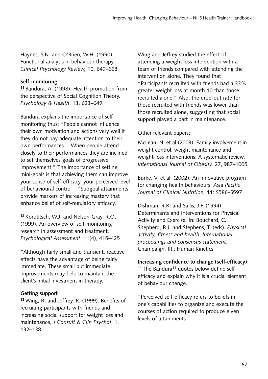Haynes, S.N. and O'Brien, W.H. (1990). Functional analysis in behaviour therapy. *Clinical Psychology Review,* 10, 649–668

# **Self-monitoring**

**<sup>11</sup>**Bandura, A. (1998). Health promotion from the perspective of Social Cognition Theory. *Psychology & Health*, 13, 623–649

Bandura explains the importance of selfmonitoring thus: "People cannot influence their own motivation and actions very well if they do not pay adequate attention to their own performances… When people attend closely to their performances they are inclined to set themselves goals of progressive improvement." The importance of setting mini-goals is that achieving them can improve your sense of self-efficacy, your perceived level of behavioural control – "Subgoal attainments provide markers of increasing mastery that enhance belief of self-regulatory efficacy."

**<sup>12</sup>**Korotitsch, W.J. and Nelson-Gray, R.O. (1999). An overview of self-monitoring research in assessment and treatment. *Psychological Assessment*, 11(4), 415–425

"Although fairly small and transient, reactive effects have the advantage of being fairly immediate. These small but immediate improvements may help to maintain the client's initial investment in therapy."

# **Getting support**

**<sup>13</sup>**Wing, R. and Jeffrey. R. (1999). Benefits of recruiting participants with friends and increasing social support for weight loss and maintenance, *J Consult & Clin Psychol*, 1, 132–138.

Wing and Jeffrey studied the effect of attending a weight loss intervention with a team of friends compared with attending the intervention alone. They found that "Participants recruited with friends had a 33% greater weight loss at month 10 than those recruited alone." Also, the drop-out rate for those recruited with friends was lower than those recruited alone, suggesting that social support played a part in maintenance.

Other relevant papers:

McLean, N. et al (2003). Family involvement in weight control, weight maintenance and weight-loss interventions: A systematic review. *International Journal of Obesity,* 27, 987–1005

Burke, V. et al. (2002). An innovative program for changing health behaviours. *Asia Pacific Journal of Clinical Nutrition,* 11: S586–S597

Dishman, R.K. and Sallis, J.F. (1994) Determinants and Interventions for Physical Activity and Exercise. In: Bouchard, C., Shepherd, R.J. and Stephens, T. (eds). *Physical activity, fitness and health: International proceedings and consensus statement.*  Champaign, III.: Human Kinetics

**Increasing confidence to change (self-efficacy)** <sup>14</sup> The Bandura<sup>11</sup> quotes below define selfefficacy and explain why it is a crucial element of behaviour change.

"Perceived self-efficacy refers to beliefs in one's capabilities to organize and execute the courses of action required to produce given levels of attainments."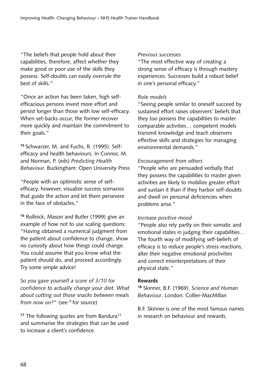"The beliefs that people hold about their capabilities, therefore, affect whether they make good or poor use of the skills they possess. Self-doubts can easily overrule the best of skills."

"Once an action has been taken, high selfefficacious persons invest more effort and persist longer than those with low self-efficacy. When set-backs occur, the former recover more quickly and maintain the commitment to their goals."

**15** Schwarzer, M. and Fuchs, R. (1995). Selfefficacy and health behaviours. In Connor, M. and Norman, P. (eds) *Predicting Health Behaviour.* Buckingham: Open University Press

"People with an optimistic sense of selfefficacy, however, visualize success scenarios that guide the action and let them persevere in the face of obstacles."

**<sup>16</sup>** Rollnick, Mason and Butler (1999) give an example of how not to use scaling questions: "Having obtained a numerical judgment from the patient about confidence to change, show no curiosity about how things could change. You could assume that you know what the patient should do, and proceed accordingly. Try some simple advice!

*So you gave yourself a score of 3/10 for confidence to actually change your diet. What about cutting out those snacks between meals from now on?"* (see <sup>9</sup> for source)

<sup>17</sup> The following quotes are from Bandura<sup>11</sup> and summarise the strategies that can be used to increase a client's confidence.

#### *Previous successes*

"The most effective way of creating a strong sense of efficacy is through mastery experiences. Successes build a robust belief in one's personal efficacy."

#### *Role models*

"Seeing people similar to oneself succeed by sustained effort raises observers' beliefs that they too possess the capabilities to master comparable activities… competent models transmit knowledge and teach observers effective skills and strategies for managing environmental demands."

#### *Encouragement from others*

"People who are persuaded verbally that they possess the capabilities to master given activities are likely to mobilize greater effort and sustain it than if they harbor self-doubts and dwell on personal deficiencies when problems arise."

#### *Increase positive mood*

"People also rely partly on their somatic and emotional states in judging their capabilities… The fourth way of modifying self-beliefs of efficacy is to reduce people's stress reactions, alter their negative emotional proclivities and correct misinterpretations of their physical state."

#### **Rewards**

**<sup>18</sup>** Skinner, B.F. (1969). *Science and Human Behaviour*. London: Collier-MacMillan

B.F. Skinner is one of the most famous names in research on behaviour and rewards.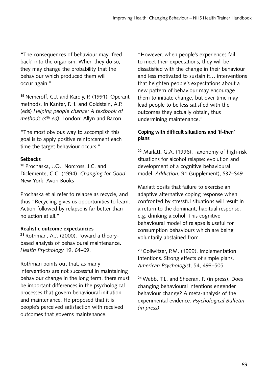"The consequences of behaviour may 'feed back' into the organism. When they do so, they may change the probability that the behaviour which produced them will occur again."

**<sup>19</sup>**Nemeroff, C.J. and Karoly, P. (1991). Operant methods. In Kanfer, F.H. and Goldstein, A.P. (eds) *Helping people change: A textbook of methods (4th ed).* London: Allyn and Bacon

"The most obvious way to accomplish this goal is to apply positive reinforcement each time the target behaviour occurs."

#### **Setbacks**

**<sup>20</sup>**Prochaska, J.O., Norcross, J.C. and Diclemente, C.C. (1994). *Changing for Good*. New York: Avon Books

Prochaska et al refer to relapse as recycle, and thus "Recycling gives us opportunities to learn. Action followed by relapse is far better than no action at all."

#### **Realistic outcome expectancies**

**21** Rothman, A.J. (2000). Toward a theorybased analysis of behavioural maintenance. *Health Psychology* 19, 64–69.

Rothman points out that, as many interventions are not successful in maintaining behaviour change in the long term, there must be important differences in the psychological processes that govern behavioural initiation and maintenance. He proposed that it is people's perceived satisfaction with received outcomes that governs maintenance.

"However, when people's experiences fail to meet their expectations, they will be dissatisfied with the change in their behaviour and less motivated to sustain it… interventions that heighten people's expectations about a new pattern of behaviour may encourage them to initiate change, but over time may lead people to be less satisfied with the outcomes they actually obtain, thus undermining maintenance."

#### **Coping with difficult situations and 'if-then' plans**

**<sup>22</sup>** Marlatt, G.A. (1996). Taxonomy of high-risk situations for alcohol relapse: evolution and development of a cognitive behavioural model. *Addiction*, 91 (supplement), S37–S49

Marlatt posits that failure to exercise an adaptive alternative coping response when confronted by stressful situations will result in a return to the dominant, habitual response, e.g. drinking alcohol. This cognitive behavioural model of relapse is useful for consumption behaviours which are being voluntarily abstained from.

**<sup>23</sup>**Gollwitzer, P.M. (1999). Implementation Intentions. Strong effects of simple plans. *American Psychologis*t, 54, 493–505

**<sup>24</sup>**Webb, T.L. and Sheeran, P. (in press). Does changing behavioural intentions engender behaviour change? A meta-analysis of the experimental evidence. *Psychological Bulletin (in press)*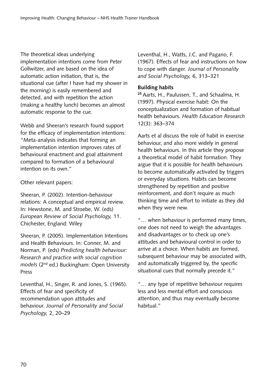The theoretical ideas underlying implementation intentions come from Peter Gollwitzer, and are based on the idea of automatic action initiation, that is, the situational cue (after I have had my shower in the morning) is easily remembered and detected, and with repetition the action (making a healthy lunch) becomes an almost automatic response to the cue.

Webb and Sheeran's research found support for the efficacy of implementation intentions: "Meta-analysis indicates that forming an implementation intention improves rates of behavioural enactment and goal attainment compared to formation of a behavioural intention on its own."

Other relevant papers:

Sheeran, P. (2002). Intention-behaviour relations: A conceptual and empirical review. In: Hewstone, M. and Stroebe, W. (eds) *European Review of Social Psychology,* 11. Chichester, England: Wiley

Sheeran, P. (2005). Implementation Intentions and Health Behaviours. In: Conner, M. and Norman, P. (eds) *Predicting health behaviour: Research and practice with social cognition models* (2nd ed.) Buckingham: Open University Press

Leventhal, H., Singer, R. and Jones, S. (1965). Effects of fear and specificity of recommendation upon attitudes and behaviour. *Journal of Personality and Social Psychology,* 2, 20–29

Leventhal, H., Watts, J.C. and Pagano, F. (1967). Effects of fear and instructions on how to cope with danger. *Journal of Personality and Social Psychology,* 6, 313–321

#### **Building habits**

**<sup>25</sup>**Aarts, H., Paulussen, T., and Schaalma, H. (1997). Physical exercise habit: On the conceptualization and formation of habitual health behaviours. *Health Education Research* 12(3): 363–374

Aarts et al discuss the role of habit in exercise behaviour, and also more widely in general health behaviours. In this article they propose a theoretical model of habit formation. They argue that it is possible for health behaviours to become automatically activated by triggers or everyday situations. Habits can become strengthened by repetition and positive reinforcement, and don't require as much thinking time and effort to initiate as they did when they were new.

"… when behaviour is performed many times, one does not need to weigh the advantages and disadvantages or to check up one's attitudes and behavioural control in order to arrive at a choice. When habits are formed, subsequent behaviour may be associated with, and automatically triggered by, the specific situational cues that normally precede it."

"… any type of repetitive behaviour requires less and less mental effort and conscious attention, and thus may eventually become habitual."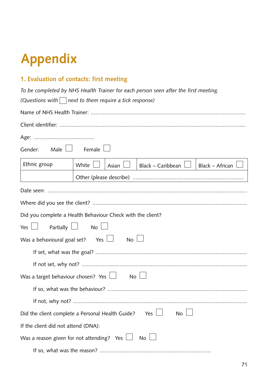# **Appendix**

# **1. Evaluation of contacts: first meeting**

|                                           | To be completed by NHS Health Trainer for each person seen after the first meeting.     |
|-------------------------------------------|-----------------------------------------------------------------------------------------|
|                                           | (Questions with $\Box$ next to them require a tick response)                            |
|                                           |                                                                                         |
|                                           |                                                                                         |
|                                           |                                                                                         |
| Gender:<br>Male $\Box$                    | Female                                                                                  |
| Ethnic group                              | White<br>Black - Caribbean<br>Black - African<br>Asian                                  |
|                                           |                                                                                         |
|                                           |                                                                                         |
|                                           |                                                                                         |
|                                           | Did you complete a Health Behaviour Check with the client?                              |
| Yes $\Box$ Partially $\Box$ No $\Box$     |                                                                                         |
| Was a behavioural goal set? Yes $\Box$    | $No \Box$                                                                               |
|                                           |                                                                                         |
|                                           |                                                                                         |
| Was a target behaviour chosen? Yes $\Box$ | No <sub>1</sub>                                                                         |
|                                           |                                                                                         |
|                                           |                                                                                         |
|                                           | Yes $\Box$<br>Did the client complete a Personal Health Guide?<br>No l                  |
| If the client did not attend (DNA):       |                                                                                         |
|                                           | Was a reason given for not attending? $\,$ Yes $\,\Box$<br>$\overline{N_{\mathcal{O}}}$ |
|                                           |                                                                                         |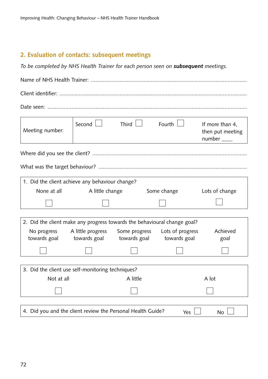# **2. Evaluation of contacts: subsequent meetings**

*To be completed by NHS Health Trainer for each person seen on subsequent meetings.*

| Meeting number:                                                          | Second $\Box$                      | Third $\Box$ | Fourth $\Box$                                    | If more than 4,<br>then put meeting<br>number ____ |  |  |
|--------------------------------------------------------------------------|------------------------------------|--------------|--------------------------------------------------|----------------------------------------------------|--|--|
|                                                                          |                                    |              |                                                  |                                                    |  |  |
|                                                                          |                                    |              |                                                  |                                                    |  |  |
| 1. Did the client achieve any behaviour change?                          |                                    |              |                                                  |                                                    |  |  |
|                                                                          | None at all <b>A</b> little change |              | Some change                                      | Lots of change                                     |  |  |
|                                                                          |                                    |              |                                                  |                                                    |  |  |
|                                                                          |                                    |              |                                                  |                                                    |  |  |
| 2. Did the client make any progress towards the behavioural change goal? |                                    |              |                                                  |                                                    |  |  |
| No progress                                                              |                                    |              | A little progress Some progress Lots of progress | Achieved                                           |  |  |
| towards goal towards goal towards goal towards goal                      |                                    |              |                                                  | goal                                               |  |  |
|                                                                          |                                    |              |                                                  |                                                    |  |  |
|                                                                          |                                    |              |                                                  |                                                    |  |  |
| 3. Did the client use self-monitoring techniques?                        |                                    |              |                                                  |                                                    |  |  |
|                                                                          | Not at all <b>A</b> little         |              |                                                  | A lot                                              |  |  |
|                                                                          |                                    |              |                                                  |                                                    |  |  |
|                                                                          |                                    |              |                                                  |                                                    |  |  |
| 4. Did you and the client review the Personal Health Guide?              |                                    |              | Yes                                              | No                                                 |  |  |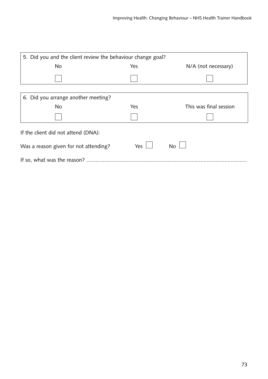| 5. Did you and the client review the behaviour change goal? |            |                        |  |  |  |  |  |
|-------------------------------------------------------------|------------|------------------------|--|--|--|--|--|
| <b>No</b>                                                   | Yes        | N/A (not necessary)    |  |  |  |  |  |
|                                                             |            |                        |  |  |  |  |  |
|                                                             |            |                        |  |  |  |  |  |
| 6. Did you arrange another meeting?                         |            |                        |  |  |  |  |  |
| <b>No</b>                                                   | Yes        | This was final session |  |  |  |  |  |
|                                                             |            |                        |  |  |  |  |  |
| If the client did not attend (DNA):                         |            |                        |  |  |  |  |  |
| Was a reason given for not attending?                       | Yes $\Box$ | <b>No</b>              |  |  |  |  |  |
|                                                             |            |                        |  |  |  |  |  |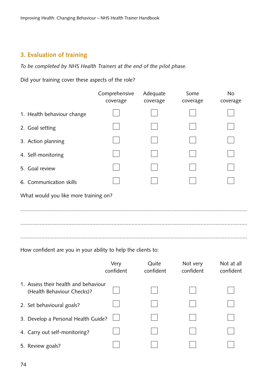# **3. Evaluation of training**

*To be completed by NHS Health Trainers at the end of the pilot phase.*

Did your training cover these aspects of the role?

|                                                               | Comprehensive<br>coverage | Adequate<br>coverage | Some<br>coverage | <b>No</b><br>coverage |
|---------------------------------------------------------------|---------------------------|----------------------|------------------|-----------------------|
| 1. Health behaviour change                                    |                           |                      |                  |                       |
| 2. Goal setting                                               |                           |                      |                  |                       |
| 3. Action planning                                            |                           |                      |                  |                       |
| 4. Self-monitoring                                            |                           |                      |                  |                       |
| 5. Goal review                                                |                           |                      |                  |                       |
| 6. Communication skills                                       |                           |                      |                  |                       |
| What would you like more training on?                         |                           |                      |                  |                       |
|                                                               |                           |                      |                  |                       |
|                                                               |                           |                      |                  |                       |
|                                                               |                           |                      |                  |                       |
| How confident are you in your ability to help the clients to: |                           |                      |                  |                       |
|                                                               | Very                      | Quite                | Not very         | Not at all            |

|                                                                    | confident | confident | confident | confident |
|--------------------------------------------------------------------|-----------|-----------|-----------|-----------|
| 1. Assess their health and behaviour<br>(Health Behaviour Checks)? |           |           |           |           |
| 2. Set behavioural goals?                                          |           |           |           |           |
| 3. Develop a Personal Health Guide?                                |           |           |           |           |
| 4. Carry out self-monitoring?                                      |           |           |           |           |
| 5. Review goals?                                                   |           |           |           |           |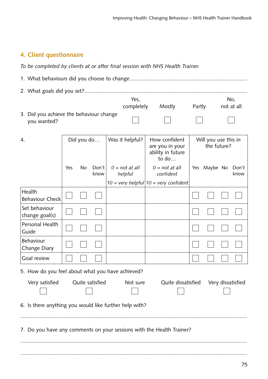# **4. Client questionnaire**

*To be completed by clients at or after final session with NHS Health Trainer.*

|                                                                       |     |            |                 |  | Yes,                        |                                                                |        |                                     | No,           |
|-----------------------------------------------------------------------|-----|------------|-----------------|--|-----------------------------|----------------------------------------------------------------|--------|-------------------------------------|---------------|
|                                                                       |     |            |                 |  | completely                  | Mostly                                                         | Partly |                                     | not at all    |
| 3. Did you achieve the behaviour change<br>you wanted?                |     |            |                 |  |                             |                                                                |        |                                     |               |
| 4.                                                                    |     | Did you do |                 |  | Was it helpful?             | How confident<br>are you in your<br>ability in future<br>to do |        | Will you use this in<br>the future? |               |
|                                                                       | Yes | <b>No</b>  | Don't<br>know   |  | $0 = not at all$<br>helpful | $0 = not at all$<br>confident                                  |        | Yes Maybe No                        | Don't<br>know |
|                                                                       |     |            |                 |  |                             | $10 =$ very helpful  $10 =$ very confident                     |        |                                     |               |
| Health<br><b>Behaviour Check</b>                                      |     |            |                 |  |                             |                                                                |        |                                     |               |
| Set behaviour<br>change goal(s)                                       |     |            |                 |  |                             |                                                                |        |                                     |               |
| Personal Health<br>Guide                                              |     |            |                 |  |                             |                                                                |        |                                     |               |
| <b>Behaviour</b><br>Change Diary                                      |     |            |                 |  |                             |                                                                |        |                                     |               |
| Goal review                                                           |     |            |                 |  |                             |                                                                |        |                                     |               |
| 5. How do you feel about what you have achieved?                      |     |            |                 |  |                             |                                                                |        |                                     |               |
| Very satisfied                                                        |     |            | Quite satisfied |  | Not sure                    | Quite dissatisfied  Very dissatisfied                          |        |                                     |               |
| 6. Is there anything you would like further help with?                |     |            |                 |  |                             |                                                                |        |                                     |               |
|                                                                       |     |            |                 |  |                             |                                                                |        |                                     |               |
| 7. Do you have any comments on your sessions with the Health Trainer? |     |            |                 |  |                             |                                                                |        |                                     |               |
|                                                                       |     |            |                 |  |                             |                                                                |        |                                     |               |
|                                                                       |     |            |                 |  |                             |                                                                |        |                                     |               |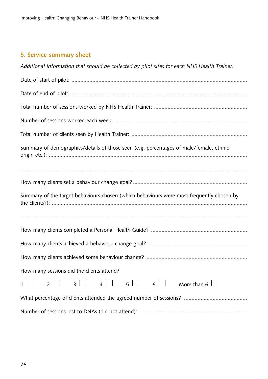# **5. Service summary sheet**

| Additional information that should be collected by pilot sites for each NHS Health Trainer.                                                                                                                                                               |
|-----------------------------------------------------------------------------------------------------------------------------------------------------------------------------------------------------------------------------------------------------------|
|                                                                                                                                                                                                                                                           |
|                                                                                                                                                                                                                                                           |
|                                                                                                                                                                                                                                                           |
|                                                                                                                                                                                                                                                           |
|                                                                                                                                                                                                                                                           |
| Summary of demographics/details of those seen (e.g. percentages of male/female, ethnic                                                                                                                                                                    |
|                                                                                                                                                                                                                                                           |
| Summary of the target behaviours chosen (which behaviours were most frequently chosen by                                                                                                                                                                  |
|                                                                                                                                                                                                                                                           |
|                                                                                                                                                                                                                                                           |
|                                                                                                                                                                                                                                                           |
| How many sessions did the clients attend?                                                                                                                                                                                                                 |
| $\begin{array}{cccc} \begin{array}{cccc} \ \ \ \end{array} & \begin{array}{cc} \ \ \ 5 \end{array} & \begin{array}{cc} \ \ \ 6 \end{array} & \begin{array}{ccc} \ \ \end{array} \end{array}$<br>4<br>More than 6<br>$\overline{2}$<br>$\overline{3}$<br>1 |
|                                                                                                                                                                                                                                                           |
|                                                                                                                                                                                                                                                           |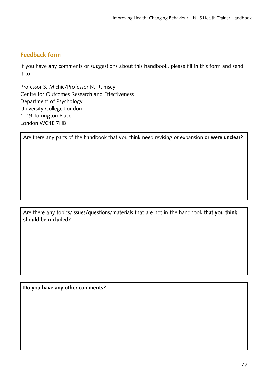#### **Feedback form**

If you have any comments or suggestions about this handbook, please fill in this form and send it to:

Professor S. Michie/Professor N. Rumsey Centre for Outcomes Research and Effectiveness Department of Psychology University College London 1–19 Torrington Place London WC1E 7HB

Are there any parts of the handbook that you think need revising or expansion **or were unclear**?

Are there any topics/issues/questions/materials that are not in the handbook **that you think should be included**?

**Do you have any other comments?**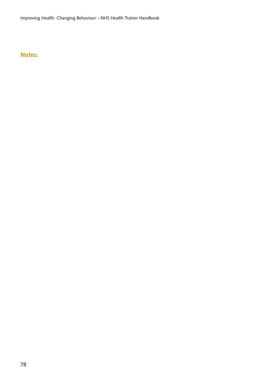Improving Health: Changing Behaviour – NHS Health Trainer Handbook

# **Notes:**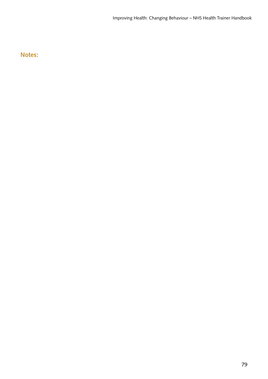#### **Notes:**